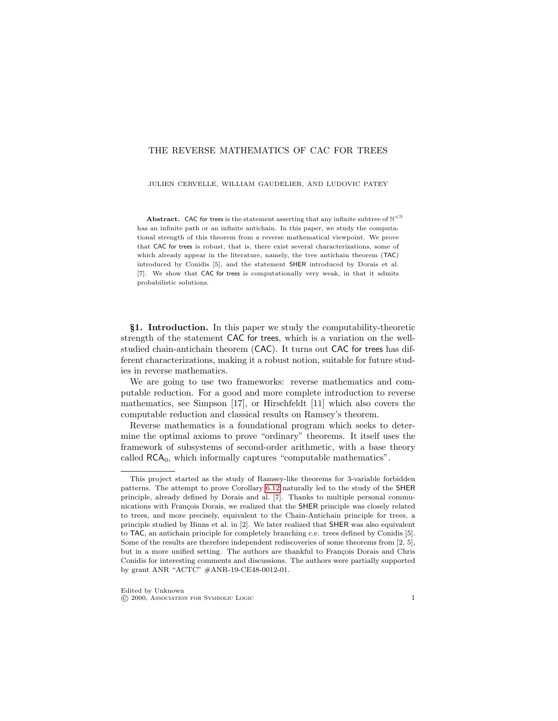#### THE REVERSE MATHEMATICS OF CAC FOR TREES

JULIEN CERVELLE, WILLIAM GAUDELIER, AND LUDOVIC PATEY

**Abstract.** CAC for trees is the statement asserting that any infinite subtree of  $N^{\leq N}$ has an infinite path or an infinite antichain. In this paper, we study the computational strength of this theorem from a reverse mathematical viewpoint. We prove that CAC for trees is robust, that is, there exist several characterizations, some of which already appear in the literature, namely, the tree antichain theorem (TAC) introduced by Conidis [5], and the statement SHER introduced by Dorais et al. [7]. We show that CAC for trees is computationally very weak, in that it admits probabilistic solutions.

§1. Introduction. In this paper we study the computability-theoretic strength of the statement CAC for trees, which is a variation on the wellstudied chain-antichain theorem (CAC). It turns out CAC for trees has different characterizations, making it a robust notion, suitable for future studies in reverse mathematics.

We are going to use two frameworks: reverse mathematics and computable reduction. For a good and more complete introduction to reverse mathematics, see Simpson [17], or Hirschfeldt [11] which also covers the computable reduction and classical results on Ramsey's theorem.

Reverse mathematics is a foundational program which seeks to determine the optimal axioms to prove "ordinary" theorems. It itself uses the framework of subsystems of second-order arithmetic, with a base theory called  $RCA<sub>0</sub>$ , which informally captures "computable mathematics".

This project started as the study of Ramsey-like theorems for 3-variable forbidden patterns. The attempt to prove Corollary [6.12](#page-18-0) naturally led to the study of the SHER principle, already defined by Dorais and al. [7]. Thanks to multiple personal communications with François Dorais, we realized that the SHER principle was closely related to trees, and more precisely, equivalent to the Chain-Antichain principle for trees, a principle studied by Binns et al. in [2]. We later realized that SHER was also equivalent to TAC, an antichain principle for completely branching c.e. trees defined by Conidis [5]. Some of the results are therefore independent rediscoveries of some theorems from [2, 5], but in a more unified setting. The authors are thankful to François Dorais and Chris Conidis for interesting comments and discussions. The authors were partially supported by grant ANR "ACTC" #ANR-19-CE48-0012-01.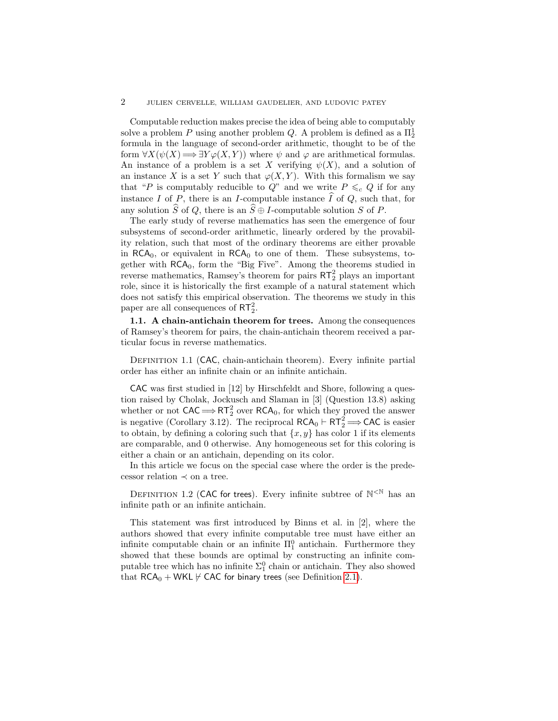Computable reduction makes precise the idea of being able to computably solve a problem  $P$  using another problem  $Q$ . A problem is defined as a  $\Pi^1_2$ formula in the language of second-order arithmetic, thought to be of the form  $\forall X(\psi(X) \Longrightarrow \exists Y \varphi(X, Y))$  where  $\psi$  and  $\varphi$  are arithmetical formulas. An instance of a problem is a set X verifying  $\psi(X)$ , and a solution of an instance X is a set Y such that  $\varphi(X, Y)$ . With this formalism we say that "P is computably reducible to  $Q$ " and we write  $P \leq_{c} Q$  if for any instance I of P, there is an I-computable instance  $\widehat{I}$  of Q, such that, for any solution  $\widehat{S}$  of Q, there is an  $\widehat{S} \oplus I$ -computable solution S of P.

The early study of reverse mathematics has seen the emergence of four subsystems of second-order arithmetic, linearly ordered by the provability relation, such that most of the ordinary theorems are either provable in  $RCA<sub>0</sub>$ , or equivalent in  $RCA<sub>0</sub>$  to one of them. These subsystems, together with RCA0, form the "Big Five". Among the theorems studied in reverse mathematics, Ramsey's theorem for pairs  $RT_2^2$  plays an important role, since it is historically the first example of a natural statement which does not satisfy this empirical observation. The theorems we study in this paper are all consequences of  $RT_2^2$ .

1.1. A chain-antichain theorem for trees. Among the consequences of Ramsey's theorem for pairs, the chain-antichain theorem received a particular focus in reverse mathematics.

DEFINITION 1.1 (CAC, chain-antichain theorem). Every infinite partial order has either an infinite chain or an infinite antichain.

CAC was first studied in [12] by Hirschfeldt and Shore, following a question raised by Cholak, Jockusch and Slaman in [3] (Question 13.8) asking whether or not  $CAC \Longrightarrow RT_2^2$  over  $RCA_0$ , for which they proved the answer is negative (Corollary 3.12). The reciprocal  $\mathsf{RCA}_0 \vdash \mathsf{RT}_2^2 \Longrightarrow \mathsf{CAC}$  is easier to obtain, by defining a coloring such that  $\{x, y\}$  has color 1 if its elements are comparable, and 0 otherwise. Any homogeneous set for this coloring is either a chain or an antichain, depending on its color.

In this article we focus on the special case where the order is the predecessor relation  $\prec$  on a tree.

DEFINITION 1.2 (CAC for trees). Every infinite subtree of  $\mathbb{N}^{\leq \mathbb{N}}$  has an infinite path or an infinite antichain.

This statement was first introduced by Binns et al. in [2], where the authors showed that every infinite computable tree must have either an infinite computable chain or an infinite  $\Pi_1^0$  antichain. Furthermore they showed that these bounds are optimal by constructing an infinite computable tree which has no infinite  $\Sigma^0_1$  chain or antichain. They also showed that  $RCA_0 + WKL \nvdash CAC$  for binary trees (see Definition [2.1\)](#page-4-0).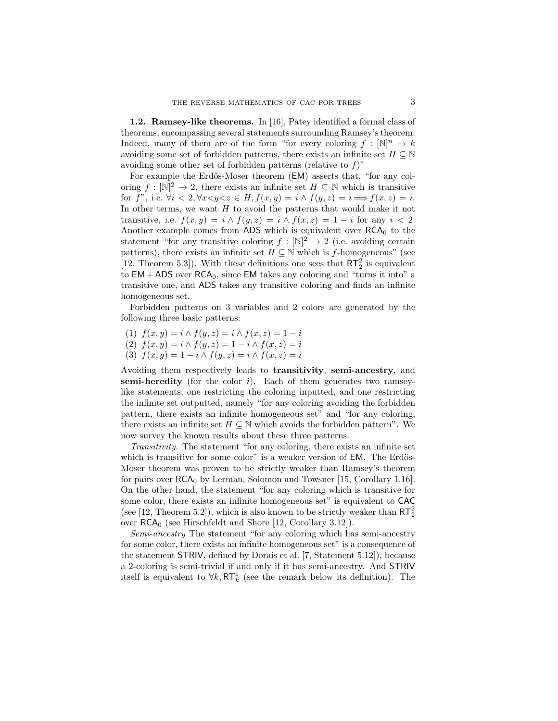1.2. Ramsey-like theorems. In [16], Patey identified a formal class of theorems, encompassing several statements surrounding Ramsey's theorem. Indeed, many of them are of the form "for every coloring  $f : [\mathbb{N}]^n \to k$ avoiding some set of forbidden patterns, there exists an infinite set  $H \subseteq \mathbb{N}$ avoiding some other set of forbidden patterns (relative to  $f$ )"

For example the Erdős-Moser theorem (EM) asserts that, "for any coloring  $f : [\mathbb{N}]^2 \to 2$ , there exists an infinite set  $H \subseteq \mathbb{N}$  which is transitive for f", i.e.  $\forall i < 2, \forall x < y < z \in H$ ,  $f(x, y) = i \land f(y, z) = i \Longrightarrow f(x, z) = i$ . In other terms, we want  $H$  to avoid the patterns that would make it not transitive, i.e.  $f(x, y) = i \wedge f(y, z) = i \wedge f(x, z) = 1 - i$  for any  $i < 2$ . Another example comes from ADS which is equivalent over  $RCA_0$  to the statement "for any transitive coloring  $f : [\mathbb{N}]^2 \to 2$  (i.e. avoiding certain patterns), there exists an infinite set  $H \subseteq \mathbb{N}$  which is f-homogeneous" (see [12, Theorem 5.3]). With these definitions one sees that  $RT_2^2$  is equivalent to  $EM + ADS$  over  $RCA<sub>0</sub>$ , since EM takes any coloring and "turns it into" a transitive one, and ADS takes any transitive coloring and finds an infinite homogeneous set.

Forbidden patterns on 3 variables and 2 colors are generated by the following three basic patterns:

- (1)  $f(x, y) = i \wedge f(y, z) = i \wedge f(x, z) = 1 i$
- (2)  $f(x, y) = i \wedge f(y, z) = 1 i \wedge f(x, z) = i$
- (3)  $f(x, y) = 1 i \wedge f(y, z) = i \wedge f(x, z) = i$

Avoiding them respectively leads to transitivity, semi-ancestry, and **semi-heredity** (for the color  $i$ ). Each of them generates two ramseylike statements, one restricting the coloring inputted, and one restricting the infinite set outputted, namely "for any coloring avoiding the forbidden pattern, there exists an infinite homogeneous set" and "for any coloring, there exists an infinite set  $H \subseteq \mathbb{N}$  which avoids the forbidden pattern". We now survey the known results about these three patterns.

Transitivity. The statement "for any coloring, there exists an infinite set which is transitive for some color" is a weaker version of EM. The Erdös-Moser theorem was proven to be strictly weaker than Ramsey's theorem for pairs over  $RCA_0$  by Lerman, Solomon and Towsner [15, Corollary 1.16]. On the other hand, the statement "for any coloring which is transitive for some color, there exists an infinite homogeneous set" is equivalent to CAC (see [12, Theorem 5.2]), which is also known to be strictly weaker than  $RT_2^2$ over  $RCA_0$  (see Hirschfeldt and Shore [12, Corollary 3.12]).

Semi-ancestry The statement "for any coloring which has semi-ancestry for some color, there exists an infinite homogeneous set" is a consequence of the statement STRIV, defined by Dorais et al. [7, Statement 5.12]), because a 2-coloring is semi-trivial if and only if it has semi-ancestry. And STRIV itself is equivalent to  $\forall k, \mathsf{RT}_{k}^{1}$  (see the remark below its definition). The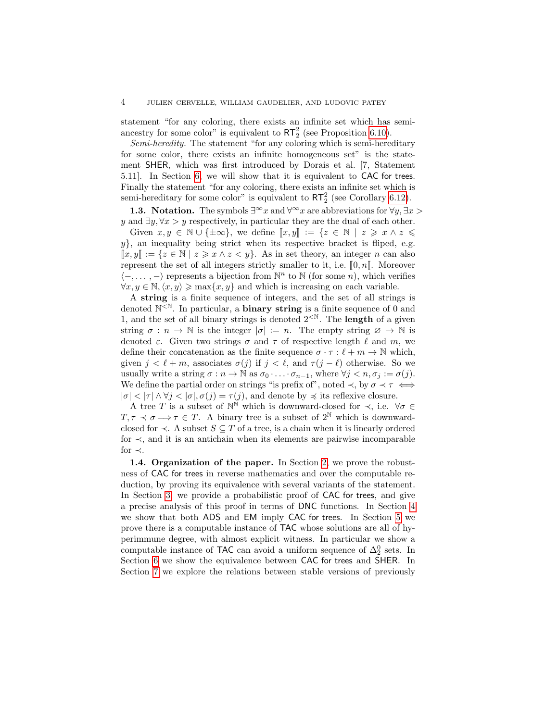statement "for any coloring, there exists an infinite set which has semiancestry for some color" is equivalent to  $RT_2^2$  (see Proposition [6.10\)](#page-17-0).

Semi-heredity. The statement "for any coloring which is semi-hereditary for some color, there exists an infinite homogeneous set" is the statement SHER, which was first introduced by Dorais et al. [7, Statement 5.11]. In Section [6,](#page-14-0) we will show that it is equivalent to CAC for trees. Finally the statement "for any coloring, there exists an infinite set which is semi-hereditary for some color" is equivalent to  $RT_2^2$  (see Corollary [6.12\)](#page-18-0).

**1.3. Notation.** The symbols  $\exists^{\infty} x$  and  $\forall^{\infty} x$  are abbreviations for  $\forall y, \exists x >$ y and  $\exists y, \forall x > y$  respectively, in particular they are the dual of each other.

Given  $x, y \in \mathbb{N} \cup \{\pm \infty\}$ , we define  $[[x, y]] := \{z \in \mathbb{N} \mid z \geq x \land z \leq \infty\}$  $y\}$ , an inequality being strict when its respective bracket is fliped, e.g.  $\llbracket x,y \rrbracket := \{ z \in \mathbb{N} \mid z \geq x \land z < y \}.$  As in set theory, an integer n can also represent the set of all integers strictly smaller to it, i.e.  $[0, n]$ . Moreover  $\langle -, \ldots, - \rangle$  represents a bijection from  $\mathbb{N}^n$  to  $\mathbb{N}$  (for some n), which verifies  $\forall x, y \in \mathbb{N}, \langle x, y \rangle \ge \max\{x, y\}$  and which is increasing on each variable.

A string is a finite sequence of integers, and the set of all strings is denoted  $N^{\leq N}$ . In particular, a **binary string** is a finite sequence of 0 and 1, and the set of all binary strings is denoted  $2^{\langle \mathbb{N} \rangle}$ . The **length** of a given string  $\sigma : n \to \mathbb{N}$  is the integer  $|\sigma| := n$ . The empty string  $\varnothing \to \mathbb{N}$  is denoted  $\varepsilon$ . Given two strings  $\sigma$  and  $\tau$  of respective length  $\ell$  and  $m$ , we define their concatenation as the finite sequence  $\sigma \cdot \tau : \ell + m \to \mathbb{N}$  which, given  $j < \ell + m$ , associates  $\sigma(j)$  if  $j < \ell$ , and  $\tau(j - \ell)$  otherwise. So we usually write a string  $\sigma : n \to \mathbb{N}$  as  $\sigma_0 \cdot \ldots \cdot \sigma_{n-1}$ , where  $\forall j < n, \sigma_j := \sigma(j)$ . We define the partial order on strings "is prefix of", noted  $\prec$ , by  $\sigma \prec \tau \iff$  $|\sigma| < |\tau| \wedge \forall j < |\sigma|, \sigma(j) = \tau(j)$ , and denote by  $\preccurlyeq$  its reflexive closure.

A tree T is a subset of  $\mathbb{N}^{\mathbb{N}}$  which is downward-closed for  $\prec$ , i.e.  $\forall \sigma \in$  $T, \tau \prec \sigma \Longrightarrow \tau \in T$ . A binary tree is a subset of  $2^{\mathbb{N}}$  which is downwardclosed for  $\prec$ . A subset  $S \subseteq T$  of a tree, is a chain when it is linearly ordered for ≺, and it is an antichain when its elements are pairwise incomparable for  $\prec$ .

1.4. Organization of the paper. In Section [2,](#page-4-1) we prove the robustness of CAC for trees in reverse mathematics and over the computable reduction, by proving its equivalence with several variants of the statement. In Section [3,](#page-6-0) we provide a probabilistic proof of CAC for trees, and give a precise analysis of this proof in terms of DNC functions. In Section [4](#page-10-0) we show that both ADS and EM imply CAC for trees. In Section [5](#page-11-0) we prove there is a computable instance of TAC whose solutions are all of hyperimmune degree, with almost explicit witness. In particular we show a computable instance of TAC can avoid a uniform sequence of  $\Delta_2^0$  sets. In Section [6](#page-14-0) we show the equivalence between CAC for trees and SHER. In Section [7](#page-19-0) we explore the relations between stable versions of previously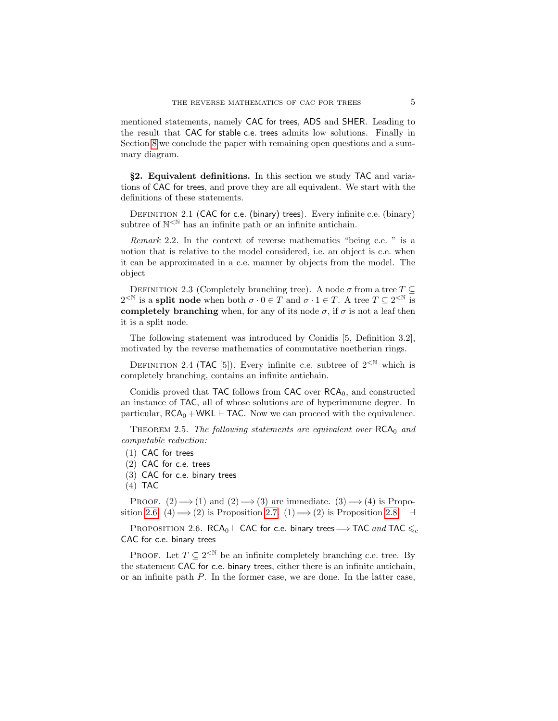mentioned statements, namely CAC for trees, ADS and SHER. Leading to the result that CAC for stable c.e. trees admits low solutions. Finally in Section [8](#page-21-0) we conclude the paper with remaining open questions and a summary diagram.

<span id="page-4-1"></span>§2. Equivalent definitions. In this section we study TAC and variations of CAC for trees, and prove they are all equivalent. We start with the definitions of these statements.

<span id="page-4-0"></span>DEFINITION 2.1 (CAC for c.e. (binary) trees). Every infinite c.e. (binary) subtree of  $\mathbb{N}^{\leq \mathbb{N}}$  has an infinite path or an infinite antichain.

Remark 2.2. In the context of reverse mathematics "being c.e. " is a notion that is relative to the model considered, i.e. an object is c.e. when it can be approximated in a c.e. manner by objects from the model. The object

DEFINITION 2.3 (Completely branching tree). A node  $\sigma$  from a tree  $T \subset$  $2^{\leq N}$  is a **split node** when both  $\sigma \cdot 0 \in T$  and  $\sigma \cdot 1 \in T$ . A tree  $T \subseteq 2^{\leq N}$  is completely branching when, for any of its node  $\sigma$ , if  $\sigma$  is not a leaf then it is a split node.

The following statement was introduced by Conidis [5, Definition 3.2], motivated by the reverse mathematics of commutative noetherian rings.

DEFINITION 2.4 (TAC [5]). Every infinite c.e. subtree of  $2^{\text{&N}}$  which is completely branching, contains an infinite antichain.

Conidis proved that TAC follows from  $CAC$  over  $RCA<sub>0</sub>$ , and constructed an instance of TAC, all of whose solutions are of hyperimmune degree. In particular,  $RCA_0 + WKL \vdash TAC$ . Now we can proceed with the equivalence.

THEOREM 2.5. The following statements are equivalent over  $RCA_0$  and computable reduction:

- (1) CAC for trees
- (2) CAC for c.e. trees
- (3) CAC for c.e. binary trees
- $(4)$  TAC

PROOF.  $(2) \implies (1)$  and  $(2) \implies (3)$  are immediate.  $(3) \implies (4)$  is Propo-sition [2.6.](#page-4-2) (4)  $\implies$  (2) is Proposition [2.7.](#page-5-0) (1)  $\implies$  (2) is Proposition [2.8.](#page-6-1) ⊣

<span id="page-4-2"></span>PROPOSITION 2.6. RCA<sub>0</sub> ⊢ CAC for c.e. binary trees  $\Longrightarrow$  TAC and TAC  $\leqslant_c$ CAC for c.e. binary trees

PROOF. Let  $T \subseteq 2^{\lt N}$  be an infinite completely branching c.e. tree. By the statement CAC for c.e. binary trees, either there is an infinite antichain, or an infinite path P. In the former case, we are done. In the latter case,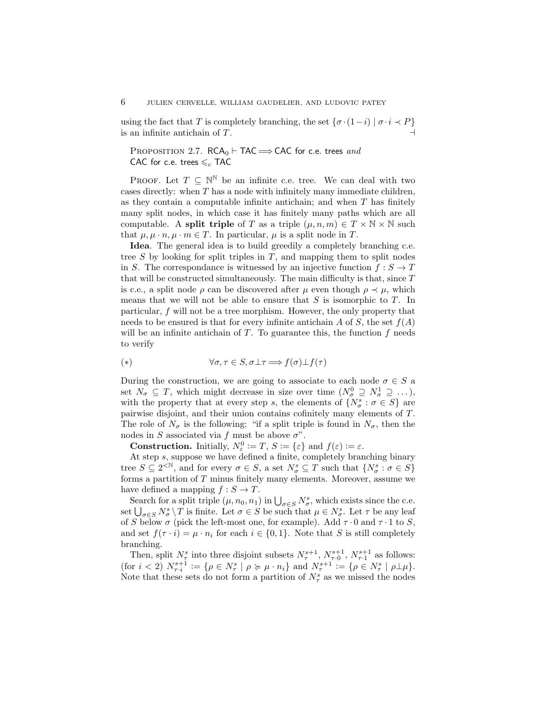using the fact that  $T$  is completely branching, the set  $\{\sigma\cdot(1-i)\mid \sigma\cdot i\prec P\}$ is an infinite antichain of  $T$ .

<span id="page-5-0"></span>PROPOSITION 2.7.  $RCA_0 \vdash TAC \Longrightarrow CAC$  for c.e. trees and CAC for c.e. trees  $\leqslant_c$  TAC

PROOF. Let  $T \subseteq \mathbb{N}^{\mathbb{N}}$  be an infinite c.e. tree. We can deal with two cases directly: when  $T$  has a node with infinitely many immediate children, as they contain a computable infinite antichain; and when  $T$  has finitely many split nodes, in which case it has finitely many paths which are all computable. A split triple of T as a triple  $(\mu, n, m) \in T \times \mathbb{N} \times \mathbb{N}$  such that  $\mu, \mu \cdot n, \mu \cdot m \in T$ . In particular,  $\mu$  is a split node in T.

Idea. The general idea is to build greedily a completely branching c.e. tree S by looking for split triples in T, and mapping them to split nodes in S. The correspondance is witnessed by an injective function  $f : S \to T$ that will be constructed simultaneously. The main difficulty is that, since  $T$ is c.e., a split node  $\rho$  can be discovered after  $\mu$  even though  $\rho \prec \mu$ , which means that we will not be able to ensure that  $S$  is isomorphic to  $T$ . In particular, f will not be a tree morphism. However, the only property that needs to be ensured is that for every infinite antichain A of S, the set  $f(A)$ will be an infinite antichain of  $T$ . To guarantee this, the function  $f$  needs to verify

<span id="page-5-1"></span>(\*) 
$$
\forall \sigma, \tau \in S, \sigma \bot \tau \Longrightarrow f(\sigma) \bot f(\tau)
$$

During the construction, we are going to associate to each node  $\sigma \in S$  a set  $N_{\sigma} \subseteq T$ , which might decrease in size over time  $(N_{\sigma}^0 \supseteq N_{\sigma}^1 \supseteq \ldots)$ , with the property that at every step s, the elements of  $\{N^s_\sigma : \sigma \in S\}$  are pairwise disjoint, and their union contains cofinitely many elements of T. The role of  $N_{\sigma}$  is the following: "if a split triple is found in  $N_{\sigma}$ , then the nodes in S associated via f must be above  $\sigma$ ".

**Construction.** Initially,  $N_{\varepsilon}^0 := T$ ,  $S := {\varepsilon}$  and  $f(\varepsilon) := \varepsilon$ .

At step s, suppose we have defined a finite, completely branching binary tree  $S \subseteq 2^{\langle \mathbb{N} \rangle}$ , and for every  $\sigma \in S$ , a set  $N^s_{\sigma} \subseteq T$  such that  $\{N^s_{\sigma} : \sigma \in S\}$ forms a partition of T minus finitely many elements. Moreover, assume we have defined a mapping  $f : S \to T$ .

Search for a split triple  $(\mu, n_0, n_1)$  in  $\bigcup_{\sigma \in S} N^s_{\sigma}$ , which exists since the c.e. set  $\bigcup_{\sigma\in S}N_{\sigma}^s\setminus T$  is finite. Let  $\sigma\in S$  be such that  $\mu\in N_{\sigma}^s$ . Let  $\tau$  be any leaf of S below  $\sigma$  (pick the left-most one, for example). Add  $\tau \cdot 0$  and  $\tau \cdot 1$  to S, and set  $f(\tau \cdot i) = \mu \cdot n_i$  for each  $i \in \{0, 1\}$ . Note that S is still completely branching.

Then, split  $N_{\tau}^s$  into three disjoint subsets  $N_{\tau}^{s+1}$ ,  $N_{\tau\cdot 0}^{s+1}$ ,  $N_{\tau\cdot 1}^{s+1}$  as follows: (for  $i < 2$ )  $N_{\tau,i}^{s+1} := \{ \rho \in N_{\tau}^s \mid \rho \succcurlyeq \mu \cdot n_i \}$  and  $N_{\tau}^{s+1} := \{ \rho \in N_{\tau}^s \mid \rho \perp \mu \}.$ Note that these sets do not form a partition of  $N_{\tau}^{s}$  as we missed the nodes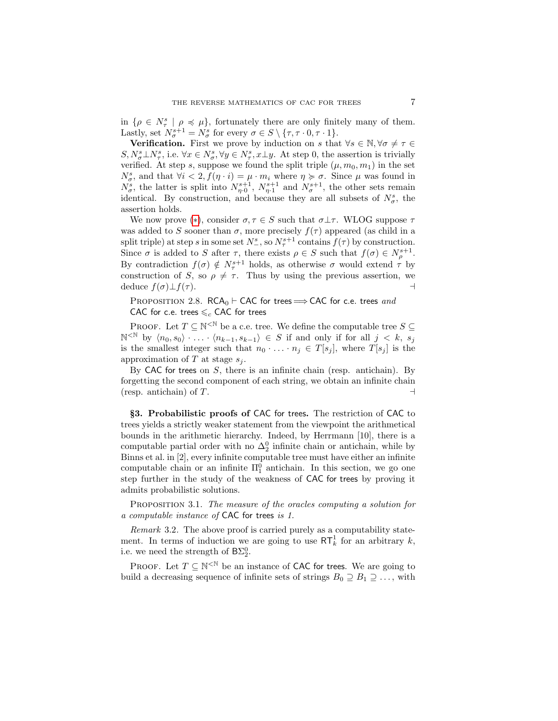in  $\{\rho \in N^s_\tau \mid \rho \preccurlyeq \mu\}$ , fortunately there are only finitely many of them. Lastly, set  $N_{\sigma}^{s+1} = N_{\sigma}^s$  for every  $\sigma \in S \setminus {\tau, \tau \cdot 0, \tau \cdot 1}.$ 

**Verification.** First we prove by induction on s that  $\forall s \in \mathbb{N}, \forall \sigma \neq \tau \in$  $S, N^s_{\sigma} \perp N^s_{\tau}$ , i.e.  $\forall x \in N^s_{\sigma}, \forall y \in N^s_{\tau}, x \perp y$ . At step 0, the assertion is trivially verified. At step s, suppose we found the split triple  $(\mu, m_0, m_1)$  in the set  $N_{\sigma}^{s}$ , and that  $\forall i < 2, f(\eta \cdot i) = \mu \cdot m_{i}$  where  $\eta \succcurlyeq \sigma$ . Since  $\mu$  was found in  $N_{\sigma}^s$ , the latter is split into  $N_{\eta}^{s+1}$ ,  $N_{\eta}^{s+1}$  and  $N_{\sigma}^{s+1}$ , the other sets remain identical. By construction, and because they are all subsets of  $N^s_{\sigma}$ , the assertion holds.

We now prove (\*), consider  $\sigma, \tau \in S$  such that  $\sigma \perp \tau$ . WLOG suppose  $\tau$ was added to S sooner than  $\sigma$ , more precisely  $f(\tau)$  appeared (as child in a split triple) at step s in some set  $N_{-}^s$ , so  $N_{\tau}^{s+1}$  contains  $f(\tau)$  by construction. Since  $\sigma$  is added to S after  $\tau$ , there exists  $\rho \in S$  such that  $f(\sigma) \in N_{\rho}^{s+1}$ . By contradiction  $f(\sigma) \notin N_{\tau}^{s+1}$  holds, as otherwise  $\sigma$  would extend  $\tau$  by construction of S, so  $\rho \neq \tau$ . Thus by using the previous assertion, we deduce  $f(\sigma) \bot f(\tau)$ .  $\qquad \qquad \rightarrow$ 

## <span id="page-6-1"></span>PROPOSITION 2.8. RCA<sub>0</sub> ⊢ CAC for trees  $\Longrightarrow$  CAC for c.e. trees and CAC for c.e. trees  $\leqslant_c$  CAC for trees

PROOF. Let  $T \subseteq \mathbb{N}^{\leq \mathbb{N}}$  be a c.e. tree. We define the computable tree  $S \subseteq$  $\mathbb{N}^{\leq \mathbb{N}}$  by  $\langle n_0, s_0 \rangle$   $\ldots$   $\langle n_{k-1}, s_{k-1} \rangle \in S$  if and only if for all  $j \langle k, s_j \rangle$ is the smallest integer such that  $n_0 \cdot \ldots \cdot n_j \in T[s_j]$ , where  $T[s_j]$  is the approximation of T at stage  $s_i$ .

By CAC for trees on  $S$ , there is an infinite chain (resp. antichain). By forgetting the second component of each string, we obtain an infinite chain (resp. antichain) of  $T$ .  $\Box$ 

<span id="page-6-0"></span>§3. Probabilistic proofs of CAC for trees. The restriction of CAC to trees yields a strictly weaker statement from the viewpoint the arithmetical bounds in the arithmetic hierarchy. Indeed, by Herrmann [10], there is a computable partial order with no  $\Delta_2^0$  infinite chain or antichain, while by Binns et al. in [2], every infinite computable tree must have either an infinite computable chain or an infinite  $\Pi_1^0$  antichain. In this section, we go one step further in the study of the weakness of CAC for trees by proving it admits probabilistic solutions.

<span id="page-6-2"></span>PROPOSITION 3.1. The measure of the oracles computing a solution for a computable instance of CAC for trees is 1.

Remark 3.2. The above proof is carried purely as a computability statement. In terms of induction we are going to use  $\mathsf{RT}_k^1$  for an arbitrary k, i.e. we need the strength of  $B\Sigma_2^0$ .

PROOF. Let  $T \subseteq \mathbb{N}^{\leq \mathbb{N}}$  be an instance of CAC for trees. We are going to build a decreasing sequence of infinite sets of strings  $B_0 \supseteq B_1 \supseteq \ldots$ , with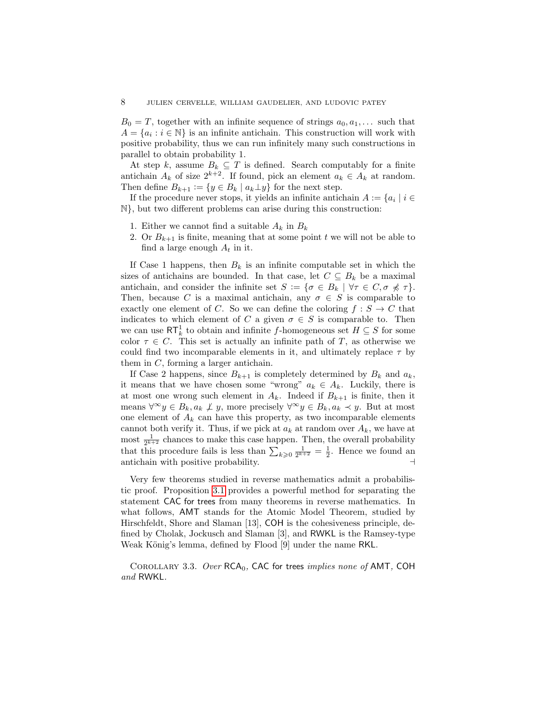$B_0 = T$ , together with an infinite sequence of strings  $a_0, a_1, \ldots$  such that  $A = \{a_i : i \in \mathbb{N}\}\$ is an infinite antichain. This construction will work with positive probability, thus we can run infinitely many such constructions in parallel to obtain probability 1.

At step k, assume  $B_k \subseteq T$  is defined. Search computably for a finite antichain  $A_k$  of size  $2^{k+2}$ . If found, pick an element  $a_k \in A_k$  at random. Then define  $B_{k+1} := \{y \in B_k \mid a_k \perp y\}$  for the next step.

If the procedure never stops, it yields an infinite antichain  $A := \{a_i \mid i \in$ N}, but two different problems can arise during this construction:

- 1. Either we cannot find a suitable  $A_k$  in  $B_k$
- 2. Or  $B_{k+1}$  is finite, meaning that at some point t we will not be able to find a large enough  $A_t$  in it.

If Case 1 happens, then  $B_k$  is an infinite computable set in which the sizes of antichains are bounded. In that case, let  $C \subseteq B_k$  be a maximal antichain, and consider the infinite set  $S := \{ \sigma \in B_k \mid \forall \tau \in C, \sigma \not\preccurlyeq \tau \}.$ Then, because C is a maximal antichain, any  $\sigma \in S$  is comparable to exactly one element of C. So we can define the coloring  $f : S \to C$  that indicates to which element of C a given  $\sigma \in S$  is comparable to. Then we can use  $\mathsf{RT}^1_k$  to obtain and infinite f-homogeneous set  $H \subseteq S$  for some color  $\tau \in C$ . This set is actually an infinite path of T, as otherwise we could find two incomparable elements in it, and ultimately replace  $\tau$  by them in  $C$ , forming a larger antichain.

If Case 2 happens, since  $B_{k+1}$  is completely determined by  $B_k$  and  $a_k$ , it means that we have chosen some "wrong"  $a_k \in A_k$ . Luckily, there is at most one wrong such element in  $A_k$ . Indeed if  $B_{k+1}$  is finite, then it means  $\forall^{\infty} y \in B_k, a_k \not\perp y$ , more precisely  $\forall^{\infty} y \in B_k, a_k \prec y$ . But at most one element of  $A_k$  can have this property, as two incomparable elements cannot both verify it. Thus, if we pick at  $a_k$  at random over  $A_k$ , we have at most  $\frac{1}{2^{k+2}}$  chances to make this case happen. Then, the overall probability that this procedure fails is less than  $\sum_{k\geqslant 0} \frac{1}{2^{k+2}} = \frac{1}{2}$ . Hence we found an antichain with positive probability. ⊣

Very few theorems studied in reverse mathematics admit a probabilistic proof. Proposition [3.1](#page-6-2) provides a powerful method for separating the statement CAC for trees from many theorems in reverse mathematics. In what follows, AMT stands for the Atomic Model Theorem, studied by Hirschfeldt, Shore and Slaman [13], COH is the cohesiveness principle, defined by Cholak, Jockusch and Slaman [3], and RWKL is the Ramsey-type Weak König's lemma, defined by Flood [9] under the name RKL.

COROLLARY 3.3. Over  $RCA_0$ , CAC for trees *implies none of* AMT, COH and RWKL.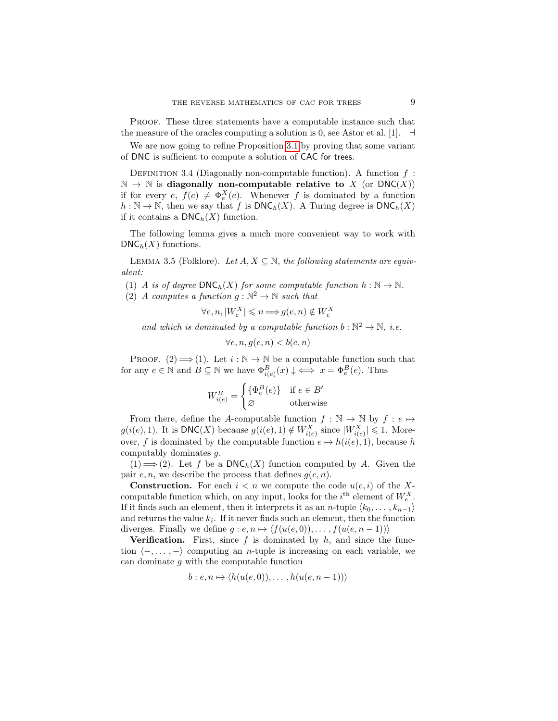Proof. These three statements have a computable instance such that the measure of the oracles computing a solution is 0, see Astor et al. [1].  $\exists$ 

We are now going to refine Proposition [3.1](#page-6-2) by proving that some variant of DNC is sufficient to compute a solution of CAC for trees.

DEFINITION 3.4 (Diagonally non-computable function). A function  $f$ :  $\mathbb{N} \to \mathbb{N}$  is diagonally non-computable relative to X (or DNC(X)) if for every  $e, f(e) \neq \Phi_e^X(e)$ . Whenever f is dominated by a function  $h : \mathbb{N} \to \mathbb{N}$ , then we say that f is  $DNC_h(X)$ . A Turing degree is  $DNC_h(X)$ if it contains a  $DNC<sub>h</sub>(X)$  function.

The following lemma gives a much more convenient way to work with  $DNC<sub>h</sub>(X)$  functions.

<span id="page-8-0"></span>LEMMA 3.5 (Folklore). Let  $A, X \subseteq \mathbb{N}$ , the following statements are equivalent:

(1) A is of degree  $\text{DNC}_h(X)$  for some computable function  $h : \mathbb{N} \to \mathbb{N}$ .

(2) A computes a function  $g : \mathbb{N}^2 \to \mathbb{N}$  such that

 $\forall e, n, |W_e^X| \leqslant n \Longrightarrow g(e, n) \notin W_e^X$ 

and which is dominated by a computable function  $b : \mathbb{N}^2 \to \mathbb{N}$ , i.e.

 $\forall e, n, q(e, n) < b(e, n)$ 

PROOF.  $(2) \Longrightarrow (1)$ . Let  $i : \mathbb{N} \to \mathbb{N}$  be a computable function such that for any  $e \in \mathbb{N}$  and  $B \subseteq \mathbb{N}$  we have  $\Phi_{i(e)}^B(x) \downarrow \iff x = \Phi_e^B(e)$ . Thus

$$
W_{i(e)}^{B} = \begin{cases} \{\Phi_e^B(e)\} & \text{if } e \in B' \\ \varnothing & \text{otherwise} \end{cases}
$$

From there, define the A-computable function  $f : \mathbb{N} \to \mathbb{N}$  by  $f : e \mapsto$  $g(i(e), 1)$ . It is  $\mathsf{DNC}(X)$  because  $g(i(e), 1) \notin W^X_{i(e)}$  since  $|W^X_{i(e)}| \leq 1$ . Moreover, f is dominated by the computable function  $e \mapsto h(i(e), 1)$ , because h computably dominates g.

 $(1) \Longrightarrow (2)$ . Let f be a DNC<sub>h</sub> $(X)$  function computed by A. Given the pair  $e, n$ , we describe the process that defines  $g(e, n)$ .

**Construction.** For each  $i < n$  we compute the code  $u(e, i)$  of the Xcomputable function which, on any input, looks for the  $i^{\text{th}}$  element of  $W_{e}^{X}$ . If it finds such an element, then it interprets it as an *n*-tuple  $\langle k_0, \ldots, k_{n-1} \rangle$ and returns the value  $k_i$ . If it never finds such an element, then the function diverges. Finally we define  $g : e, n \mapsto \langle f(u(e, 0)), \dots, f(u(e, n-1)) \rangle$ 

**Verification.** First, since  $f$  is dominated by  $h$ , and since the function  $\langle -, \ldots, - \rangle$  computing an *n*-tuple is increasing on each variable, we can dominate g with the computable function

$$
b: e, n \mapsto \langle h(u(e, 0)), \dots, h(u(e, n-1)) \rangle
$$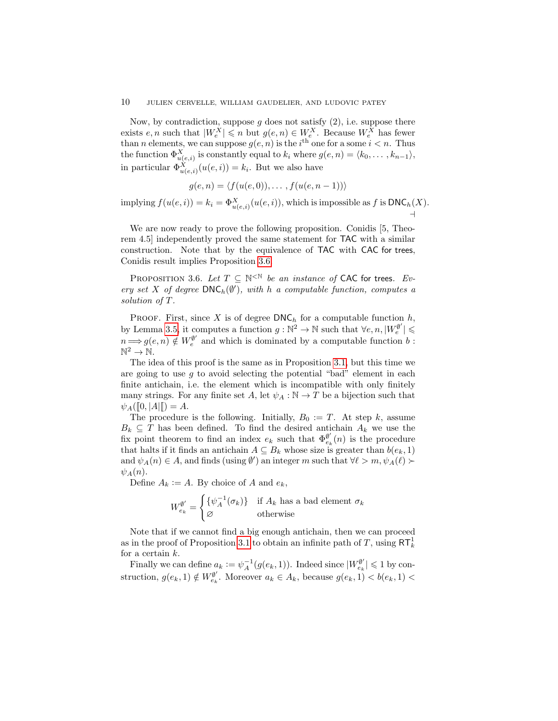Now, by contradiction, suppose g does not satisfy  $(2)$ , i.e. suppose there exists  $e, n$  such that  $|W_e^X| \leqslant n$  but  $g(e, n) \in W_e^X$ . Because  $W_e^X$  has fewer than *n* elements, we can suppose  $g(e, n)$  is the *i*<sup>th</sup> one for a some  $i < n$ . Thus the function  $\Phi_{u(e,i)}^X$  is constantly equal to  $k_i$  where  $g(e, n) = \langle k_0, \ldots, k_{n-1} \rangle$ , in particular  $\Phi_{u(e,i)}^X(u(e,i)) = k_i$ . But we also have

$$
g(e, n) = \langle f(u(e, 0)), \dots, f(u(e, n-1)) \rangle
$$

implying  $f(u(e, i)) = k_i = \Phi_{u(e, i)}^X(u(e, i))$ , which is impossible as f is  $\text{DNC}_h(X)$ . ⊣

We are now ready to prove the following proposition. Conidis [5, Theorem 4.5] independently proved the same statement for TAC with a similar construction. Note that by the equivalence of TAC with CAC for trees, Conidis result implies Proposition [3.6.](#page-9-0)

<span id="page-9-0"></span>PROPOSITION 3.6. Let  $T \subseteq \mathbb{N}^{\leq \mathbb{N}}$  be an instance of CAC for trees. Every set X of degree  $\text{DNC}_h(\emptyset')$ , with h a computable function, computes a solution of T.

PROOF. First, since X is of degree  $\mathsf{DNC}_h$  for a computable function h, by Lemma [3.5,](#page-8-0) it computes a function  $g : \mathbb{N}^2 \to \mathbb{N}$  such that  $\forall e, n, |W_e^{\emptyset'}| \leq$  $n \Longrightarrow g(e, n) \notin W_e^{\emptyset'}$  and which is dominated by a computable function  $b$ :  $\mathbb{N}^2 \to \mathbb{N}$ .

The idea of this proof is the same as in Proposition [3.1,](#page-6-2) but this time we are going to use  $g$  to avoid selecting the potential "bad" element in each finite antichain, i.e. the element which is incompatible with only finitely many strings. For any finite set A, let  $\psi_A : \mathbb{N} \to T$  be a bijection such that  $\psi_A([\![0,|A|]\!]) = A.$ 

The procedure is the following. Initially,  $B_0 := T$ . At step k, assume  $B_k \subseteq T$  has been defined. To find the desired antichain  $A_k$  we use the fix point theorem to find an index  $e_k$  such that  $\Phi_{e_k}^{\phi'}(n)$  is the procedure that halts if it finds an antichain  $A \subseteq B_k$  whose size is greater than  $b(e_k, 1)$ and  $\psi_A(n) \in A$ , and finds (using  $\emptyset'$ ) an integer m such that  $\forall \ell > m$ ,  $\psi_A(\ell)$   $\succ$  $\psi_A(n)$ .

Define  $A_k := A$ . By choice of A and  $e_k$ ,

$$
W_{e_k}^{\emptyset'} = \begin{cases} \{\psi_A^{-1}(\sigma_k)\} & \text{if } A_k \text{ has a bad element } \sigma_k \\ \varnothing & \text{otherwise} \end{cases}
$$

Note that if we cannot find a big enough antichain, then we can proceed as in the proof of Proposition [3.1](#page-6-2) to obtain an infinite path of  $T$ , using  $\mathsf{RT}^1_k$ for a certain  $k$ .

Finally we can define  $a_k := \psi_A^{-1}(g(e_k, 1))$ . Indeed since  $|W_{e_k}^{\emptyset'}| \leq 1$  by construction,  $g(e_k, 1) \notin W_{e_k}^{\emptyset'}$ . Moreover  $a_k \in A_k$ , because  $g(e_k, 1) < b(e_k, 1)$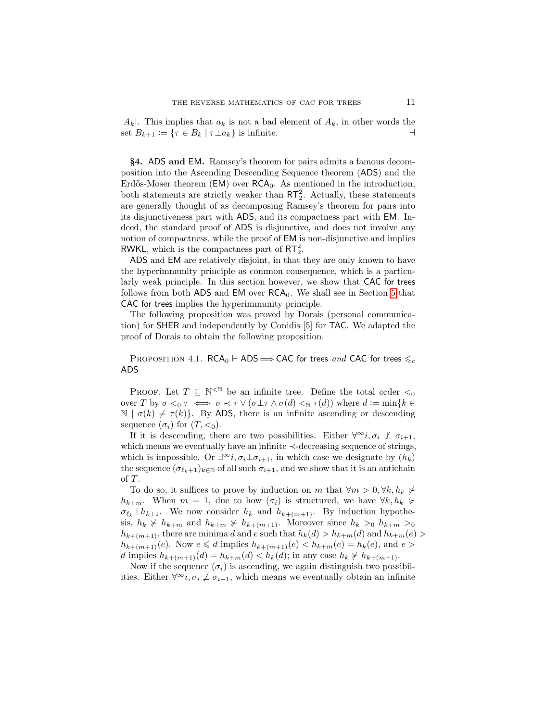$|A_k|$ . This implies that  $a_k$  is not a bad element of  $A_k$ , in other words the set  $B_{k+1} := \{ \tau \in B_k \mid \tau \perp a_k \}$  is infinite.  $\Box$ 

<span id="page-10-0"></span>§4. ADS and EM. Ramsey's theorem for pairs admits a famous decomposition into the Ascending Descending Sequence theorem (ADS) and the Erdős-Moser theorem  $(EM)$  over  $RCA_0$ . As mentioned in the introduction, both statements are strictly weaker than  $RT_2^2$ . Actually, these statements are generally thought of as decomposing Ramsey's theorem for pairs into its disjunctiveness part with ADS, and its compactness part with EM. Indeed, the standard proof of ADS is disjunctive, and does not involve any notion of compactness, while the proof of EM is non-disjunctive and implies RWKL, which is the compactness part of  $RT_2^2$ .

ADS and EM are relatively disjoint, in that they are only known to have the hyperimmunity principle as common consequence, which is a particularly weak principle. In this section however, we show that CAC for trees follows from both ADS and EM over  $RCA_0$ . We shall see in Section [5](#page-11-0) that CAC for trees implies the hyperimmunity principle.

The following proposition was proved by Dorais (personal communication) for SHER and independently by Conidis [5] for TAC. We adapted the proof of Dorais to obtain the following proposition.

<span id="page-10-1"></span>PROPOSITION 4.1. RCA<sub>0</sub> ⊢ ADS  $\Longrightarrow$  CAC for trees and CAC for trees  $\leq_c$ ADS

PROOF. Let  $T \subseteq \mathbb{N}^{\leq \mathbb{N}}$  be an infinite tree. Define the total order  $\lt_0$ over T by  $\sigma \leq_0 \tau \iff \sigma \prec \tau \vee (\sigma \perp \tau \wedge \sigma(d) \leq_N \tau(d))$  where  $d := \min\{k \in$  $\mathbb{N} \mid \sigma(k) \neq \tau(k)$ . By ADS, there is an infinite ascending or descending sequence  $(\sigma_i)$  for  $(T, \leq_0)$ .

If it is descending, there are two possibilities. Either  $\forall \infty$ *i*,  $\sigma_i \not\perp \sigma_{i+1}$ , which means we eventually have an infinite ≺-decreasing sequence of strings, which is impossible. Or  $\exists^{\infty} i, \sigma_i \bot \sigma_{i+1}$ , in which case we designate by  $(h_k)$ the sequence  $(\sigma_{\ell_k+1})_{k\in\mathbb{N}}$  of all such  $\sigma_{i+1}$ , and we show that it is an antichain of T.

To do so, it suffices to prove by induction on m that  $\forall m > 0, \forall k, h_k \neq$  $h_{k+m}$ . When  $m = 1$ , due to how  $(\sigma_i)$  is structured, we have  $\forall k, h_k \succcurlyeq$  $\sigma_{\ell_k} \perp h_{k+1}$ . We now consider  $h_k$  and  $h_{k+(m+1)}$ . By induction hypothesis,  $h_k \nsucc h_{k+m}$  and  $h_{k+m} \nsucc h_{k+(m+1)}$ . Moreover since  $h_k >_0 h_{k+m} >_0$  $h_{k+(m+1)}$ , there are minima d and e such that  $h_k(d) > h_{k+m}(d)$  and  $h_{k+m}(e) >$  $h_{k+(m+1)}(e)$ . Now  $e \le d$  implies  $h_{k+(m+1)}(e) < h_{k+m}(e) = h_k(e)$ , and  $e >$ d implies  $h_{k+(m+1)}(d) = h_{k+m}(d) < h_k(d)$ ; in any case  $h_k \nsucceq h_{k+(m+1)}$ .

Now if the sequence  $(\sigma_i)$  is ascending, we again distinguish two possibilities. Either  $\forall^{\infty}i, \sigma_i \not\perp \sigma_{i+1}$ , which means we eventually obtain an infinite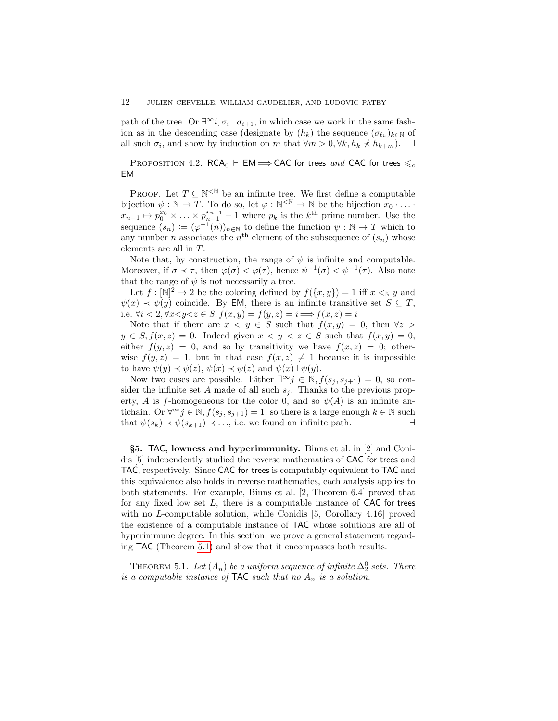path of the tree. Or  $\exists^\infty i, \sigma_i \bot \sigma_{i+1}$ , in which case we work in the same fashion as in the descending case (designate by  $(h_k)$ ) the sequence  $(\sigma_{\ell_k})_{k\in\mathbb{N}}$  of all such  $\sigma_i$ , and show by induction on m that  $\forall m > 0, \forall k, h_k \nless h_{k+m}$ .  $\exists$ 

PROPOSITION 4.2. RCA<sub>0</sub> ⊢ EM  $\Longrightarrow$  CAC for trees and CAC for trees  $\leqslant_c$ EM

PROOF. Let  $T \subseteq \mathbb{N}^{\leq \mathbb{N}}$  be an infinite tree. We first define a computable bijection  $\psi : \mathbb{N} \to \overline{T}$ . To do so, let  $\varphi : \mathbb{N}^{\leq \mathbb{N}} \to \mathbb{N}$  be the bijection  $x_0 \cdot \ldots \cdot$  $x_{n-1} \mapsto p_0^{x_0} \times \ldots \times p_{n-1}^{x_{n-1}} - 1$  where  $p_k$  is the  $k^{\text{th}}$  prime number. Use the sequence  $(s_n) := (\varphi^{-1}(n))_{n \in \mathbb{N}}$  to define the function  $\psi : \mathbb{N} \to T$  which to any number *n* associates the  $n<sup>th</sup>$  element of the subsequence of  $(s_n)$  whose elements are all in T.

Note that, by construction, the range of  $\psi$  is infinite and computable. Moreover, if  $\sigma \prec \tau$ , then  $\varphi(\sigma) < \varphi(\tau)$ , hence  $\psi^{-1}(\sigma) < \psi^{-1}(\tau)$ . Also note that the range of  $\psi$  is not necessarily a tree.

Let  $f: [\mathbb{N}]^2 \to 2$  be the coloring defined by  $f(\lbrace x,y \rbrace) = 1$  iff  $x \leq_{\mathbb{N}} y$  and  $\psi(x) \prec \psi(y)$  coincide. By EM, there is an infinite transitive set  $S \subseteq T$ , i.e.  $\forall i < 2, \forall x < y < z \in S$ ,  $f(x, y) = f(y, z) = i \Longrightarrow f(x, z) = i$ 

Note that if there are  $x < y \in S$  such that  $f(x, y) = 0$ , then  $\forall z >$  $y \in S, f(x, z) = 0$ . Indeed given  $x \le y \le z \in S$  such that  $f(x, y) = 0$ , either  $f(y, z) = 0$ , and so by transitivity we have  $f(x, z) = 0$ ; otherwise  $f(y, z) = 1$ , but in that case  $f(x, z) \neq 1$  because it is impossible to have  $\psi(y) \prec \psi(z)$ ,  $\psi(x) \prec \psi(z)$  and  $\psi(x) \perp \psi(y)$ .

Now two cases are possible. Either  $\exists^{\infty} j \in \mathbb{N}, f(s_j, s_{j+1}) = 0$ , so consider the infinite set A made of all such  $s_j$ . Thanks to the previous property, A is f-homogeneous for the color 0, and so  $\psi(A)$  is an infinite antichain. Or  $\forall^\infty j \in \mathbb{N}, f(s_i, s_{i+1}) = 1$ , so there is a large enough  $k \in \mathbb{N}$  such that  $\psi(s_k) \prec \psi(s_{k+1}) \prec \ldots$ , i.e. we found an infinite path.  $\rightarrow$ 

<span id="page-11-0"></span>§5. TAC, lowness and hyperimmunity. Binns et al. in [2] and Conidis [5] independently studied the reverse mathematics of CAC for trees and TAC, respectively. Since CAC for trees is computably equivalent to TAC and this equivalence also holds in reverse mathematics, each analysis applies to both statements. For example, Binns et al. [2, Theorem 6.4] proved that for any fixed low set  $L$ , there is a computable instance of CAC for trees with no L-computable solution, while Conidis [5, Corollary 4.16] proved the existence of a computable instance of TAC whose solutions are all of hyperimmune degree. In this section, we prove a general statement regarding TAC (Theorem [5.1\)](#page-11-1) and show that it encompasses both results.

<span id="page-11-1"></span>THEOREM 5.1. Let  $(A_n)$  be a uniform sequence of infinite  $\Delta_2^0$  sets. There is a computable instance of TAC such that no  $A_n$  is a solution.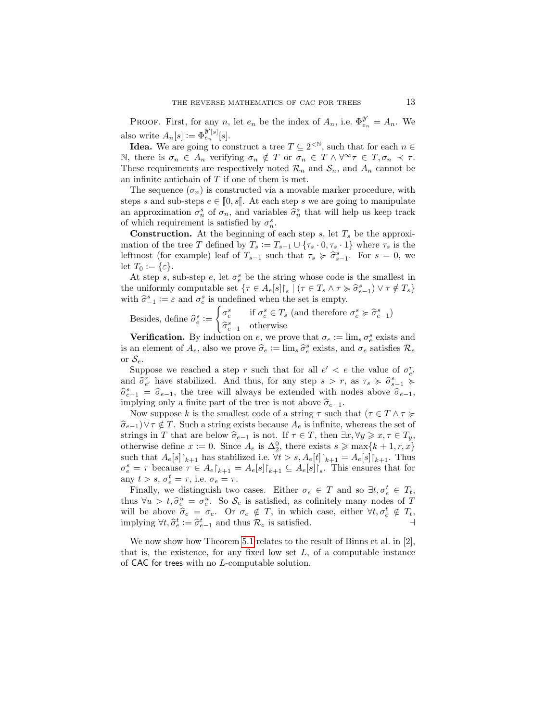PROOF. First, for any n, let  $e_n$  be the index of  $A_n$ , i.e.  $\Phi_{e_n}^{\emptyset'} = A_n$ . We also write  $A_n[s] := \Phi_{e_n}^{\emptyset'[s]}[s]$ .

**Idea.** We are going to construct a tree  $T \subseteq 2^{\lt N}$ , such that for each  $n \in$ N, there is  $\sigma_n \in A_n$  verifying  $\sigma_n \notin T$  or  $\sigma_n \in T \wedge \forall^\infty \tau \in T, \sigma_n \prec \tau$ . These requirements are respectively noted  $\mathcal{R}_n$  and  $\mathcal{S}_n$ , and  $A_n$  cannot be an infinite antichain of  $T$  if one of them is met.

The sequence  $(\sigma_n)$  is constructed via a movable marker procedure, with steps s and sub-steps  $e \in [0, s]$ . At each step s we are going to manipulate an approximation  $\sigma_n^s$  of  $\sigma_n$ , and variables  $\hat{\sigma}_n^s$  that will help us keep track of which requirement is satisfied by  $\sigma_n^s$ .

**Construction.** At the beginning of each step s, let  $T_s$  be the approximation of the tree T defined by  $T_s := T_{s-1} \cup {\tau_s \cdot 0, \tau_s \cdot 1}$  where  $\tau_s$  is the leftmost (for example) leaf of  $T_{s-1}$  such that  $\tau_s \geq \hat{\sigma}_{s-1}^s$ . For  $s = 0$ , we let  $T_0 := \{\varepsilon\}.$ 

At step s, sub-step e, let  $\sigma_e^s$  be the string whose code is the smallest in the uniformly computable set  $\{\tau \in A_e[s] \mid s \mid (\tau \in T_s \land \tau \succcurlyeq \hat{\sigma}_{e-1}^s) \lor \tau \notin T_s\}$ with  $\hat{\sigma}_{-1}^s := \varepsilon$  and  $\sigma_e^s$  is undefined when the set is empty.

Besides, define  $\hat{\sigma}_e^s :=$  $\int_{\alpha} \sigma_e^s$  if  $\sigma_e^s \in T_s$  (and therefore  $\sigma_e^s \succcurlyeq \hat{\sigma}_{e-1}^s$ )  $\widehat{\sigma}_{e-1}^s$  otherwise

**Verification.** By induction on e, we prove that  $\sigma_e := \lim_s \sigma_e^s$  exists and is an element of  $A_e$ , also we prove  $\hat{\sigma}_e := \lim_s \hat{\sigma}_e^s$  exists, and  $\sigma_e$  satisfies  $\mathcal{R}_e$ or  $S_e$ .

Suppose we reached a step r such that for all  $e' < e$  the value of  $\sigma_{e'}^r$ and  $\hat{\sigma}_{e'}^r$  have stabilized. And thus, for any step  $s > r$ , as  $\tau_s \geq \hat{\sigma}_{s-1}^s \geq \hat{\sigma}_{s-1}^s$  $\hat{\sigma}_{e-1}^s = \hat{\sigma}_{e-1}$ , the tree will always be extended with nodes above  $\hat{\sigma}_{e-1}$ , implying only a finite part of the tree is not above  $\hat{\sigma}_{e-1}$ . implying only a finite part of the tree is not above  $\hat{\sigma}_{e-1}$ .

Now suppose k is the smallest code of a string  $\tau$  such that  $(\tau \in T \land \tau \succcurlyeq$  $\hat{\sigma}_{e-1}$ )∨ $\tau \notin T$ . Such a string exists because  $A_e$  is infinite, whereas the set of strings in T that are below  $\widehat{\sigma}_{e-1}$  is not. If  $\tau \in T$ , then  $\exists x, \forall y \geq x, \tau \in T_y$ , otherwise define  $x := 0$ . Since  $A_e$  is  $\Delta_2^0$ , there exists  $s \ge \max\{k+1, r, x\}$ such that  $A_e[s]\upharpoonright_{k+1}$  has stabilized i.e.  $\forall t > s, A_e[t]\upharpoonright_{k+1} = A_e[s]\upharpoonright_{k+1}$ . Thus  $\sigma_e^s = \tau$  because  $\tau \in A_e\vert_{k+1} = A_e\vert s\vert_{k+1} \subseteq A_e\vert s\vert_{s}$ . This ensures that for any  $t > s$ ,  $\sigma_e^t = \tau$ , i.e.  $\sigma_e = \tau$ .

Finally, we distinguish two cases. Either  $\sigma_e \in T$  and so  $\exists t, \sigma_e^t \in T_t$ , thus  $\forall u > t, \hat{\sigma}_e^u = \sigma_e^u$ . So  $\mathcal{S}_e$  is satisfied, as cofinitely many nodes of T<br>will be above  $\hat{\sigma} = \sigma$ . Or  $\sigma \notin T$  in which case either  $\forall t \notin T$ . will be above  $\hat{\sigma}_e = \sigma_e$ . Or  $\sigma_e \notin T$ , in which case, either  $\forall t, \sigma_e^t \notin T_t$ , in properties implying  $\forall t, \hat{\sigma}_e^t := \hat{\sigma}_{e-1}^t$  and thus  $\mathcal{R}_e$  is satisfied.  $\rightarrow$ 

<span id="page-12-0"></span>We now show how Theorem [5.1](#page-11-1) relates to the result of Binns et al. in [2], that is, the existence, for any fixed low set  $L$ , of a computable instance of CAC for trees with no L-computable solution.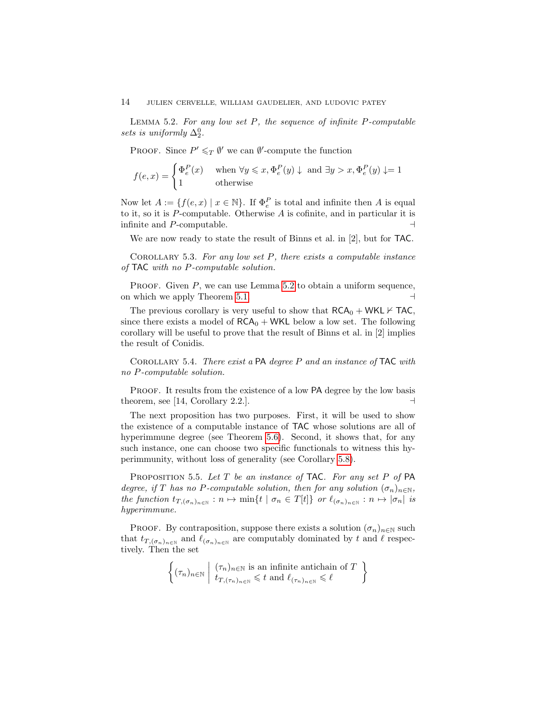LEMMA 5.2. For any low set  $P$ , the sequence of infinite  $P$ -computable sets is uniformly  $\Delta_2^0$ .

PROOF. Since  $P' \leq_T \emptyset'$  we can  $\emptyset'$ -compute the function

$$
f(e,x) = \begin{cases} \Phi_e^P(x) & \text{when } \forall y \leqslant x, \Phi_e^P(y) \downarrow \text{ and } \exists y > x, \Phi_e^P(y) \downarrow = 1\\ 1 & \text{otherwise} \end{cases}
$$

Now let  $A := \{f(e, x) \mid x \in \mathbb{N}\}\.$  If  $\Phi_e^P$  is total and infinite then A is equal to it, so it is  $P$ -computable. Otherwise  $A$  is cofinite, and in particular it is infinite and  $P$ -computable.

We are now ready to state the result of Binns et al. in [2], but for TAC.

<span id="page-13-2"></span>COROLLARY 5.3. For any low set  $P$ , there exists a computable instance of TAC with no P-computable solution.

PROOF. Given  $P$ , we can use Lemma [5.2](#page-12-0) to obtain a uniform sequence, on which we apply Theorem [5.1.](#page-11-1) ⊣

The previous corollary is very useful to show that  $RCA_0 + WKL \nvdash TAC$ , since there exists a model of  $RCA_0 + WKL$  below a low set. The following corollary will be useful to prove that the result of Binns et al. in [2] implies the result of Conidis.

<span id="page-13-0"></span>COROLLARY 5.4. There exist a  $PA$  degree P and an instance of TAC with no P-computable solution.

PROOF. It results from the existence of a low PA degree by the low basis theorem, see [14, Corollary 2.2.].  $\Box$ 

The next proposition has two purposes. First, it will be used to show the existence of a computable instance of TAC whose solutions are all of hyperimmune degree (see Theorem [5.6\)](#page-14-1). Second, it shows that, for any such instance, one can choose two specific functionals to witness this hyperimmunity, without loss of generality (see Corollary [5.8\)](#page-14-2).

<span id="page-13-1"></span>PROPOSITION 5.5. Let T be an instance of TAC. For any set P of PA degree, if T has no P-computable solution, then for any solution  $(\sigma_n)_{n\in\mathbb{N}}$ , the function  $t_{T,(\sigma_n)_{n\in\mathbb{N}}}:n\mapsto \min\{t\mid \sigma_n\in T[t]\}$  or  $\ell_{(\sigma_n)_{n\in\mathbb{N}}}:n\mapsto |\sigma_n|$  is hyperimmune.

PROOF. By contraposition, suppose there exists a solution  $(\sigma_n)_{n\in\mathbb{N}}$  such that  $t_{T,(\sigma_n)_{n\in\mathbb{N}}}$  and  $\ell_{(\sigma_n)_{n\in\mathbb{N}}}$  are computably dominated by t and  $\ell$  respectively. Then the set

$$
\left\{ (\tau_n)_{n \in \mathbb{N}} \mid \begin{array}{l} (\tau_n)_{n \in \mathbb{N}} \text{ is an infinite antichain of } T \\ t_{T, (\tau_n)_{n \in \mathbb{N}}} \leq t \text{ and } \ell_{(\tau_n)_{n \in \mathbb{N}}} \leq \ell \end{array} \right\}
$$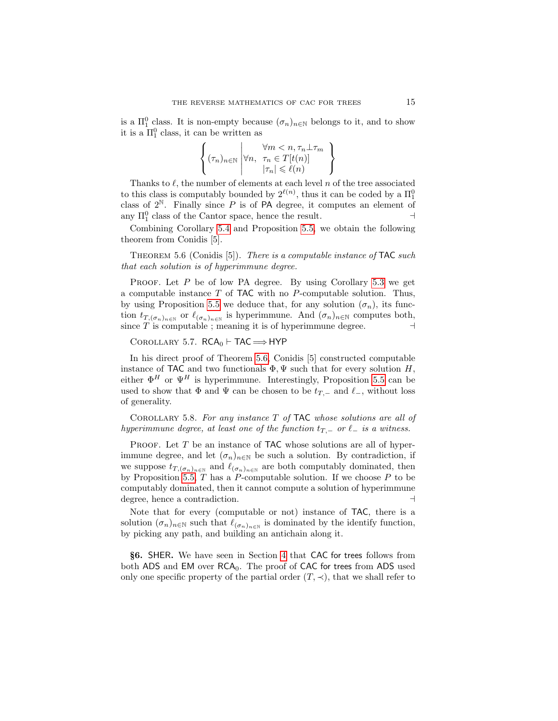is a  $\Pi_1^0$  class. It is non-empty because  $(\sigma_n)_{n\in\mathbb{N}}$  belongs to it, and to show it is a  $\Pi_1^0$  class, it can be written as

$$
\left\{ (\tau_n)_{n \in \mathbb{N}} \middle| \forall n, \begin{array}{l} \forall m < n, \tau_n \perp \tau_m \\ \forall n, \tau_n \in T[t(n)] \\ |\tau_n| \leqslant \ell(n) \end{array} \right\}
$$

Thanks to  $\ell$ , the number of elements at each level n of the tree associated to this class is computably bounded by  $2^{\ell(n)}$ , thus it can be coded by a  $\Pi_1^0$ class of  $2^{\mathbb{N}}$ . Finally since P is of PA degree, it computes an element of any  $\Pi_1^0$  class of the Cantor space, hence the result.  $\rightarrow$ 

Combining Corollary [5.4](#page-13-0) and Proposition [5.5,](#page-13-1) we obtain the following theorem from Conidis [5].

<span id="page-14-1"></span>THEOREM 5.6 (Conidis  $[5]$ ). There is a computable instance of TAC such that each solution is of hyperimmune degree.

PROOF. Let  $P$  be of low PA degree. By using Corollary [5.3](#page-13-2) we get a computable instance  $T$  of  $TAC$  with no  $P$ -computable solution. Thus, by using Proposition [5.5](#page-13-1) we deduce that, for any solution  $(\sigma_n)$ , its function  $t_{T,(\sigma_n)_{n\in\mathbb{N}}}$  or  $\ell_{(\sigma_n)_{n\in\mathbb{N}}}$  is hyperimmune. And  $(\sigma_n)_{n\in\mathbb{N}}$  computes both, since T is computable ; meaning it is of hyperimmune degree.  $\Box$ 

COROLLARY 5.7.  $RCA_0 \vdash TAC \Longrightarrow HYP$ 

In his direct proof of Theorem [5.6,](#page-14-1) Conidis [5] constructed computable instance of TAC and two functionals  $\Phi$ ,  $\Psi$  such that for every solution H, either  $\Phi^H$  or  $\Psi^H$  is hyperimmune. Interestingly, Proposition [5.5](#page-13-1) can be used to show that  $\Phi$  and  $\Psi$  can be chosen to be  $t_{T,-}$  and  $\ell_-,$  without loss of generality.

<span id="page-14-2"></span>COROLLARY 5.8. For any instance  $T$  of TAC whose solutions are all of hyperimmune degree, at least one of the function  $t_{T-}$  or  $\ell_-$  is a witness.

PROOF. Let  $T$  be an instance of TAC whose solutions are all of hyperimmune degree, and let  $(\sigma_n)_{n\in\mathbb{N}}$  be such a solution. By contradiction, if we suppose  $t_{T,(\sigma_n)_n\in\mathbb{N}}$  and  $\ell_{(\sigma_n)_n\in\mathbb{N}}$  are both computably dominated, then by Proposition [5.5,](#page-13-1)  $T$  has a  $P$ -computable solution. If we choose  $P$  to be computably dominated, then it cannot compute a solution of hyperimmune degree, hence a contradiction. ⊣

Note that for every (computable or not) instance of TAC, there is a solution  $(\sigma_n)_{n\in\mathbb{N}}$  such that  $\ell_{(\sigma_n)_n\in\mathbb{N}}$  is dominated by the identify function, by picking any path, and building an antichain along it.

<span id="page-14-0"></span>§6. SHER. We have seen in Section [4](#page-10-0) that CAC for trees follows from both ADS and EM over  $RCA_0$ . The proof of CAC for trees from ADS used only one specific property of the partial order  $(T, \prec)$ , that we shall refer to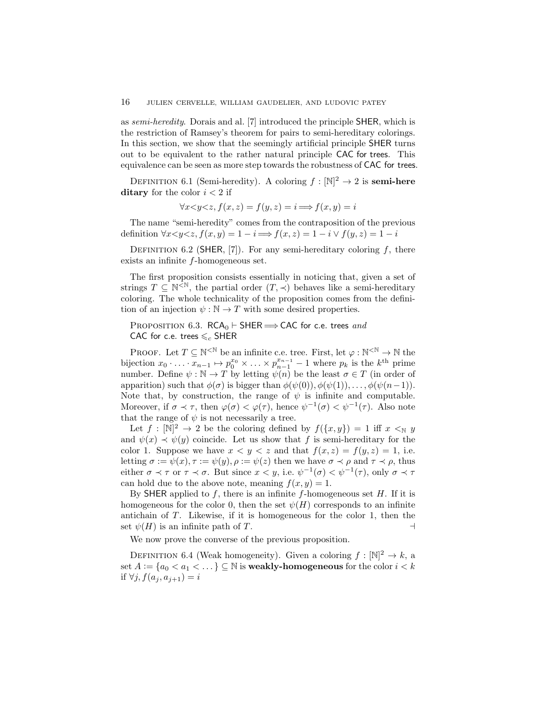as semi-heredity. Dorais and al. [7] introduced the principle SHER, which is the restriction of Ramsey's theorem for pairs to semi-hereditary colorings. In this section, we show that the seemingly artificial principle SHER turns out to be equivalent to the rather natural principle CAC for trees. This equivalence can be seen as more step towards the robustness of CAC for trees.

DEFINITION 6.1 (Semi-heredity). A coloring  $f : [\mathbb{N}]^2 \to 2$  is **semi-here** ditary for the color  $i < 2$  if

$$
\forall x \leq y \leq z, f(x, z) = f(y, z) = i \Longrightarrow f(x, y) = i
$$

The name "semi-heredity" comes from the contraposition of the previous definition  $\forall x < y < z, f(x, y) = 1 - i \Longrightarrow f(x, z) = 1 - i \lor f(y, z) = 1 - i$ 

DEFINITION 6.2 (SHER, [7]). For any semi-hereditary coloring  $f$ , there exists an infinite f-homogeneous set.

The first proposition consists essentially in noticing that, given a set of strings  $T \subseteq \mathbb{N}^{\leq \mathbb{N}}$ , the partial order  $(T, \prec)$  behaves like a semi-hereditary coloring. The whole technicality of the proposition comes from the definition of an injection  $\psi : \mathbb{N} \to T$  with some desired properties.

# <span id="page-15-0"></span>PROPOSITION 6.3.  $RCA_0 \vdash$  SHER  $\Longrightarrow$  CAC for c.e. trees and CAC for c.e. trees  $\leqslant_c$  SHER

PROOF. Let  $T \subseteq \mathbb{N}^{\leq \mathbb{N}}$  be an infinite c.e. tree. First, let  $\varphi : \mathbb{N}^{\leq \mathbb{N}} \to \mathbb{N}$  the bijection  $x_0 \cdot \ldots \cdot \overline{x_{n-1}} \mapsto p_0^{x_0} \times \ldots \times p_{n-1}^{x_{n-1}} - 1$  where  $p_k$  is the  $k^{\text{th}}$  prime number. Define  $\psi : \mathbb{N} \to T$  by letting  $\psi(n)$  be the least  $\sigma \in T$  (in order of apparition) such that  $\phi(\sigma)$  is bigger than  $\phi(\psi(0)), \phi(\psi(1)), \ldots, \phi(\psi(n-1)).$ Note that, by construction, the range of  $\psi$  is infinite and computable. Moreover, if  $\sigma \prec \tau$ , then  $\varphi(\sigma) < \varphi(\tau)$ , hence  $\psi^{-1}(\sigma) < \psi^{-1}(\tau)$ . Also note that the range of  $\psi$  is not necessarily a tree.

Let  $f : [\mathbb{N}]^2 \to 2$  be the coloring defined by  $f(\{x, y\}) = 1$  iff  $x \leq_{\mathbb{N}} y$ and  $\psi(x) \prec \psi(y)$  coincide. Let us show that f is semi-hereditary for the color 1. Suppose we have  $x < y < z$  and that  $f(x, z) = f(y, z) = 1$ , i.e. letting  $\sigma := \psi(x)$ ,  $\tau := \psi(y)$ ,  $\rho := \psi(z)$  then we have  $\sigma \prec \rho$  and  $\tau \prec \rho$ , thus either  $\sigma \prec \tau$  or  $\tau \prec \sigma$ . But since  $x < y$ , i.e.  $\psi^{-1}(\sigma) < \psi^{-1}(\tau)$ , only  $\sigma \prec \tau$ can hold due to the above note, meaning  $f(x, y) = 1$ .

By SHER applied to  $f$ , there is an infinite  $f$ -homogeneous set  $H$ . If it is homogeneous for the color 0, then the set  $\psi(H)$  corresponds to an infinite antichain of T. Likewise, if it is homogeneous for the color 1, then the set  $\psi(H)$  is an infinite path of T.

We now prove the converse of the previous proposition.

DEFINITION 6.4 (Weak homogeneity). Given a coloring  $f: \mathbb{N}^2 \to k$ , a set  $A := \{a_0 < a_1 < \dots \} \subseteq \mathbb{N}$  is **weakly-homogeneous** for the color  $i < k$ if  $\forall j, f(a_i, a_{i+1}) = i$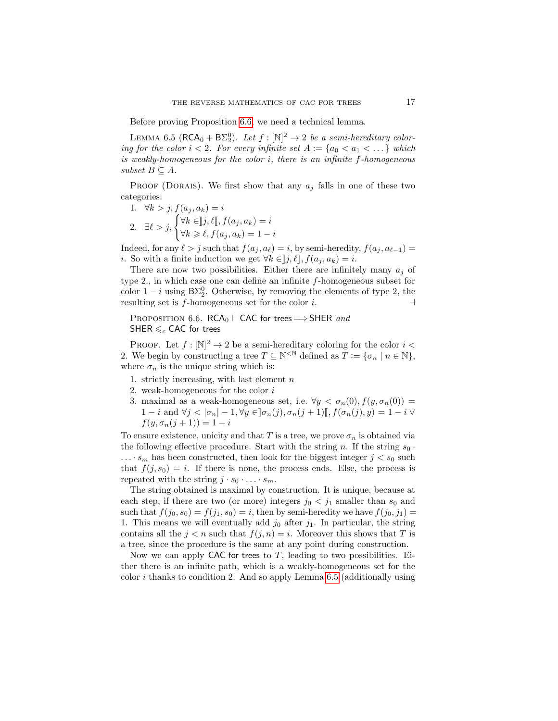Before proving Proposition [6.6,](#page-16-0) we need a technical lemma.

<span id="page-16-1"></span>LEMMA 6.5 ( $\mathsf{RCA}_0 + \mathsf{B}\Sigma_2^0$ ). Let  $f : [\mathbb{N}]^2 \to 2$  be a semi-hereditary coloring for the color  $i < 2$ . For every infinite set  $A := \{a_0 < a_1 < \dots \}$  which is weakly-homogeneous for the color i, there is an infinite f-homogeneous subset  $B \subseteq A$ .

PROOF (DORAIS). We first show that any  $a_i$  falls in one of these two categories:

1. 
$$
\forall k > j, f(a_j, a_k) = i
$$
  
\n2.  $\exists \ell > j, \begin{cases} \forall k \in ]j, \ell[], f(a_j, a_k) = i \\ \forall k \geq \ell, f(a_j, a_k) = 1 - i \end{cases}$ 

Indeed, for any  $\ell > j$  such that  $f(a_j, a_\ell) = i$ , by semi-heredity,  $f(a_j, a_{\ell-1}) =$ *i*. So with a finite induction we get  $\forall k \in [j, \ell], f(a_j, a_k) = i$ .

There are now two possibilities. Either there are infinitely many  $a_i$  of type 2., in which case one can define an infinite  $f$ -homogeneous subset for color  $1 - i$  using  $B\Sigma_2^0$ . Otherwise, by removing the elements of type 2, the resulting set is f-homogeneous set for the color *i*.  $\Box$ 

<span id="page-16-0"></span>PROPOSITION 6.6. RCA<sub>0</sub> ⊢ CAC for trees  $\Longrightarrow$  SHER and SHER  $\leqslant_c$  CAC for trees

**PROOF.** Let  $f : [\mathbb{N}]^2 \to 2$  be a semi-hereditary coloring for the color  $i <$ 2. We begin by constructing a tree  $T \subseteq \mathbb{N}^{\leq \mathbb{N}}$  defined as  $\widetilde{T} := \{\sigma_n \mid n \in \mathbb{N}\},$ where  $\sigma_n$  is the unique string which is:

- 1. strictly increasing, with last element  $n$
- 2. weak-homogeneous for the color  $i$
- 3. maximal as a weak-homogeneous set, i.e.  $\forall y < \sigma_n(0), f(y, \sigma_n(0)) =$ 1 − i and  $\forall j < |\sigma_n|$  – 1,  $\forall y \in ]\sigma_n(j), \sigma_n(j+1) [$ ,  $f(\sigma_n(j), y) = 1 - i \vee$  $f(y, \sigma_n(j + 1)) = 1 - i$

To ensure existence, unicity and that T is a tree, we prove  $\sigma_n$  is obtained via the following effective procedure. Start with the string n. If the string  $s_0$ .  $\ldots$  s<sub>m</sub> has been constructed, then look for the biggest integer  $j < s_0$  such that  $f(j, s_0) = i$ . If there is none, the process ends. Else, the process is repeated with the string  $j \cdot s_0 \cdot \ldots \cdot s_m$ .

The string obtained is maximal by construction. It is unique, because at each step, if there are two (or more) integers  $j_0 < j_1$  smaller than  $s_0$  and such that  $f(j_0, s_0) = f(j_1, s_0) = i$ , then by semi-heredity we have  $f(j_0, j_1) =$ 1. This means we will eventually add  $j_0$  after  $j_1$ . In particular, the string contains all the  $j < n$  such that  $f(j, n) = i$ . Moreover this shows that T is a tree, since the procedure is the same at any point during construction.

Now we can apply CAC for trees to  $T$ , leading to two possibilities. Either there is an infinite path, which is a weakly-homogeneous set for the color i thanks to condition 2. And so apply Lemma [6.5](#page-16-1) (additionally using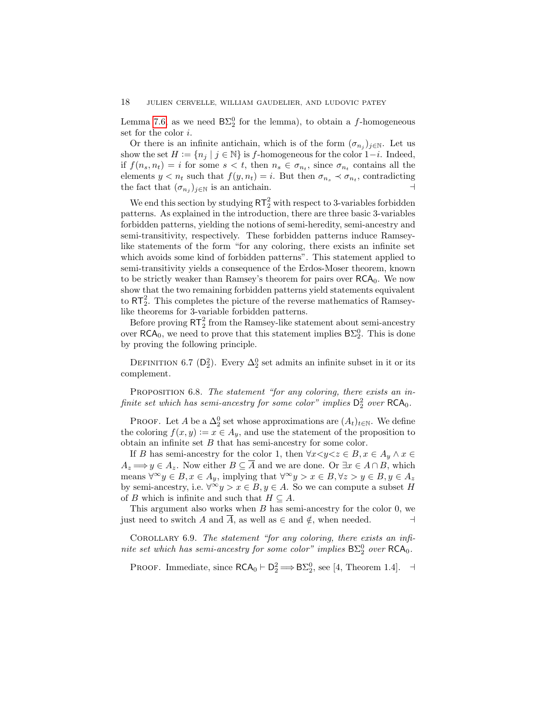Lemma [7.6,](#page-20-0) as we need  $B\Sigma_2^0$  for the lemma), to obtain a f-homogeneous set for the color i.

Or there is an infinite antichain, which is of the form  $(\sigma_{n_j})_{j\in\mathbb{N}}$ . Let us show the set  $H := \{n_j \mid j \in \mathbb{N}\}\$ is f-homogeneous for the color 1−*i*. Indeed, if  $f(n_s, n_t) = i$  for some  $s < t$ , then  $n_s \in \sigma_{n_t}$ , since  $\sigma_{n_t}$  contains all the elements  $y < n_t$  such that  $f(y, n_t) = i$ . But then  $\sigma_{n_s} \prec \sigma_{n_t}$ , contradicting the fact that  $(\sigma_{n_j})_{j\in\mathbb{N}}$  is an antichain.  $\rightarrow$ 

We end this section by studying  $RT_2^2$  with respect to 3-variables forbidden patterns. As explained in the introduction, there are three basic 3-variables forbidden patterns, yielding the notions of semi-heredity, semi-ancestry and semi-transitivity, respectively. These forbidden patterns induce Ramseylike statements of the form "for any coloring, there exists an infinite set which avoids some kind of forbidden patterns". This statement applied to semi-transitivity yields a consequence of the Erdos-Moser theorem, known to be strictly weaker than Ramsey's theorem for pairs over  $RCA_0$ . We now show that the two remaining forbidden patterns yield statements equivalent to  $RT_2^2$ . This completes the picture of the reverse mathematics of Ramseylike theorems for 3-variable forbidden patterns.

Before proving  $RT_2^2$  from the Ramsey-like statement about semi-ancestry over  $\mathsf{RCA}_0$ , we need to prove that this statement implies  $\mathsf{B}\Sigma^0_2$ . This is done by proving the following principle.

DEFINITION 6.7 ( $D_2^2$ ). Every  $\Delta_2^0$  set admits an infinite subset in it or its complement.

PROPOSITION 6.8. The statement "for any coloring, there exists an infinite set which has semi-ancestry for some color" implies  $D_2^2$  over  $\mathsf{RCA}_0$ .

PROOF. Let A be a  $\Delta_2^0$  set whose approximations are  $(A_t)_{t\in\mathbb{N}}$ . We define the coloring  $f(x, y) := x \in A_y$ , and use the statement of the proposition to obtain an infinite set  $B$  that has semi-ancestry for some color.

If B has semi-ancestry for the color 1, then  $\forall x \leq y \leq z \in B, x \in A_y \land x \in \mathbb{R}$  $A_z \Longrightarrow y \in A_z$ . Now either  $B \subseteq \overline{A}$  and we are done. Or  $\exists x \in A \cap B$ , which means  $\forall^{\infty} y \in B, x \in A_y$ , implying that  $\forall^{\infty} y > x \in B, \forall z > y \in B, y \in A_z$ by semi-ancestry, i.e.  $\forall^{\infty} y > x \in B, y \in A$ . So we can compute a subset H of B which is infinite and such that  $H \subseteq A$ .

This argument also works when  $B$  has semi-ancestry for the color  $0$ , we just need to switch A and  $\overline{A}$ , as well as  $\in$  and  $\notin$ , when needed.  $\Box$ 

<span id="page-17-1"></span>COROLLARY 6.9. The statement "for any coloring, there exists an infinite set which has semi-ancestry for some color" implies  $B\Sigma^0_2$  over  $RCA_0$ .

<span id="page-17-0"></span>PROOF. Immediate, since  $\mathsf{RCA}_0 \vdash \mathsf{D}_2^2 \Longrightarrow \mathsf{B}\Sigma_2^0$ , see [4, Theorem 1.4].  $\dashv$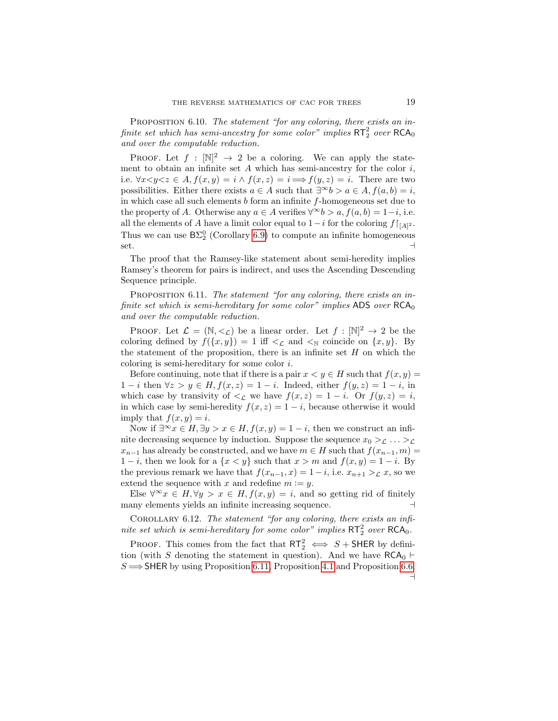PROPOSITION 6.10. The statement "for any coloring, there exists an infinite set which has semi-ancestry for some color" implies  $\mathsf{RT}^2_2$  over  $\mathsf{RCA}_0$ and over the computable reduction.

PROOF. Let  $f : [\mathbb{N}]^2 \to 2$  be a coloring. We can apply the statement to obtain an infinite set  $A$  which has semi-ancestry for the color  $i$ , i.e.  $\forall x \leq y \leq z \in A$ ,  $f(x, y) = i \wedge f(x, z) = i \Longrightarrow f(y, z) = i$ . There are two possibilities. Either there exists  $a \in A$  such that  $\exists^{\infty} b > a \in A$ ,  $f(a, b) = i$ , in which case all such elements  $b$  form an infinite  $f$ -homogeneous set due to the property of A. Otherwise any  $a \in A$  verifies  $\forall^{\infty} b > a, f(a, b) = 1-i$ , i.e. all the elements of A have a limit color equal to  $1-i$  for the coloring  $f\upharpoonright_{[A]^2}$ . Thus we can use  $B\Sigma_2^0$  (Corollary [6.9\)](#page-17-1) to compute an infinite homogeneous set.  $\rightarrow$ 

The proof that the Ramsey-like statement about semi-heredity implies Ramsey's theorem for pairs is indirect, and uses the Ascending Descending Sequence principle.

<span id="page-18-1"></span>PROPOSITION 6.11. The statement "for any coloring, there exists an infinite set which is semi-hereditary for some color" implies ADS over  $RCA_0$ and over the computable reduction.

PROOF. Let  $\mathcal{L} = (\mathbb{N}, \leq_{\mathcal{L}})$  be a linear order. Let  $f : [\mathbb{N}]^2 \to 2$  be the coloring defined by  $f({x, y}) = 1$  iff  $\lt_L$  and  $\lt_N$  coincide on  ${x, y}$ . By the statement of the proposition, there is an infinite set  $H$  on which the coloring is semi-hereditary for some color i.

Before continuing, note that if there is a pair  $x < y \in H$  such that  $f(x, y) =$  $1-i$  then  $\forall z > y \in H, f(x, z) = 1-i$ . Indeed, either  $f(y, z) = 1-i$ , in which case by transivity of  $\leq_{\mathcal{L}}$  we have  $f(x, z) = 1 - i$ . Or  $f(y, z) = i$ , in which case by semi-heredity  $f(x, z) = 1 - i$ , because otherwise it would imply that  $f(x, y) = i$ .

Now if  $\exists^{\infty} x \in H$ ,  $\exists y > x \in H$ ,  $f(x, y) = 1 - i$ , then we construct an infinite decreasing sequence by induction. Suppose the sequence  $x_0 >_{\mathcal{L}} \ldots >_{\mathcal{L}}$  $x_{n-1}$  has already be constructed, and we have  $m \in H$  such that  $f(x_{n-1}, m) =$  $1-i$ , then we look for a  $\{x < y\}$  such that  $x > m$  and  $f(x, y) = 1 - i$ . By the previous remark we have that  $f(x_{n-1}, x) = 1 - i$ , i.e.  $x_{n+1} > \mathcal{L} x$ , so we extend the sequence with x and redefine  $m := y$ .

Else  $\forall^{\infty} x \in H, \forall y > x \in H, f(x, y) = i$ , and so getting rid of finitely many elements yields an infinite increasing sequence. ⊣

<span id="page-18-0"></span>COROLLARY 6.12. The statement "for any coloring, there exists an infinite set which is semi-hereditary for some color" implies  $RT_2^2$  over  $RCA_0$ .

PROOF. This comes from the fact that  $\mathsf{RT}_2^2 \iff S + \mathsf{SHER}$  by definition (with S denoting the statement in question). And we have  $RCA_0 \vdash$  $S \Longrightarrow$  SHER by using Proposition [6.11,](#page-18-1) Proposition [4.1](#page-10-1) and Proposition [6.6.](#page-16-0) ⊣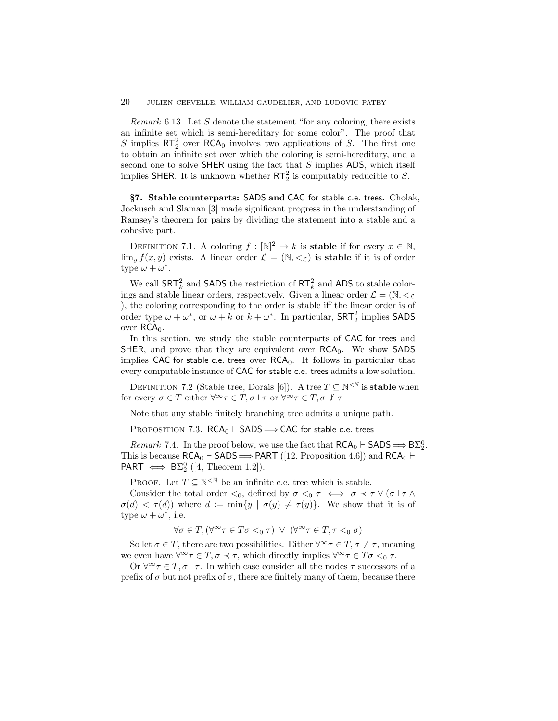*Remark* 6.13. Let S denote the statement "for any coloring, there exists an infinite set which is semi-hereditary for some color". The proof that S implies  $RT_2^2$  over  $RCA_0$  involves two applications of S. The first one to obtain an infinite set over which the coloring is semi-hereditary, and a second one to solve SHER using the fact that  $S$  implies ADS, which itself implies SHER. It is unknown whether  $RT_2^2$  is computably reducible to S.

<span id="page-19-0"></span>§7. Stable counterparts: SADS and CAC for stable c.e. trees. Cholak, Jockusch and Slaman [3] made significant progress in the understanding of Ramsey's theorem for pairs by dividing the statement into a stable and a cohesive part.

DEFINITION 7.1. A coloring  $f: \mathbb{N}^2 \to k$  is **stable** if for every  $x \in \mathbb{N}$ ,  $\lim_{y} f(x, y)$  exists. A linear order  $\mathcal{L} = (\mathbb{N}, \leq_{\mathcal{L}})$  is **stable** if it is of order type  $\omega + \omega^*$ .

We call  $\textsf{SRT}_k^2$  and  $\textsf{SADS}$  the restriction of  $\textsf{RT}_k^2$  and ADS to stable colorings and stable linear orders, respectively. Given a linear order  $\mathcal{L} = (\mathbb{N}, \leq_{\mathcal{L}})$ ), the coloring corresponding to the order is stable iff the linear order is of order type  $\omega + \omega^*$ , or  $\omega + k$  or  $k + \omega^*$ . In particular,  $SRT_2^2$  implies SADS over  $RCA<sub>0</sub>$ .

In this section, we study the stable counterparts of CAC for trees and SHER, and prove that they are equivalent over  $RCA_0$ . We show SADS implies CAC for stable c.e. trees over  $RCA_0$ . It follows in particular that every computable instance of CAC for stable c.e. trees admits a low solution.

DEFINITION 7.2 (Stable tree, Dorais [6]). A tree  $T \subseteq \mathbb{N}^{\leq \mathbb{N}}$  is **stable** when for every  $\sigma \in T$  either  $\forall^{\infty} \tau \in T$ ,  $\sigma \bot \tau$  or  $\forall^{\infty} \tau \in T$ ,  $\sigma \bot \tau$ 

Note that any stable finitely branching tree admits a unique path.

PROPOSITION 7.3.  $RCA_0 \vdash SADS \Longrightarrow CAC$  for stable c.e. trees

Remark 7.4. In the proof below, we use the fact that  $\mathsf{RCA}_0 \vdash \mathsf{SADS} \Longrightarrow \mathsf{B}\Sigma^0_2$ . This is because  $RCA_0 \vdash$  SADS  $\Longrightarrow$  PART ([12, Proposition 4.6]) and  $RCA_0 \vdash$ PART  $\iff$  B $\Sigma_2^0$  ([4, Theorem 1.2]).

PROOF. Let  $T \subseteq \mathbb{N}^{\leq \mathbb{N}}$  be an infinite c.e. tree which is stable.

Consider the total order  $\lt_0$ , defined by  $\sigma \lt_0 \tau \iff \sigma \lt \tau \lor (\sigma \perp \tau \land \tau)$  $\sigma(d) < \tau(d)$ ) where  $d := \min\{y \mid \sigma(y) \neq \tau(y)\}.$  We show that it is of type  $\omega + \omega^*$ , i.e.

$$
\forall \sigma \in T, (\forall^\infty \tau \in T\sigma <_0 \tau) \ \lor \ (\forall^\infty \tau \in T, \tau <_0 \sigma)
$$

So let  $\sigma \in T$ , there are two possibilities. Either  $\forall^{\infty} \tau \in T$ ,  $\sigma \not\perp \tau$ , meaning we even have  $\forall^{\infty} \tau \in T$ ,  $\sigma \prec \tau$ , which directly implies  $\forall^{\infty} \tau \in T$ ,  $\sigma \prec_0 \tau$ .

Or  $\forall^{\infty} \tau \in T$ ,  $\sigma \bot \tau$ . In which case consider all the nodes  $\tau$  successors of a prefix of  $\sigma$  but not prefix of  $\sigma$ , there are finitely many of them, because there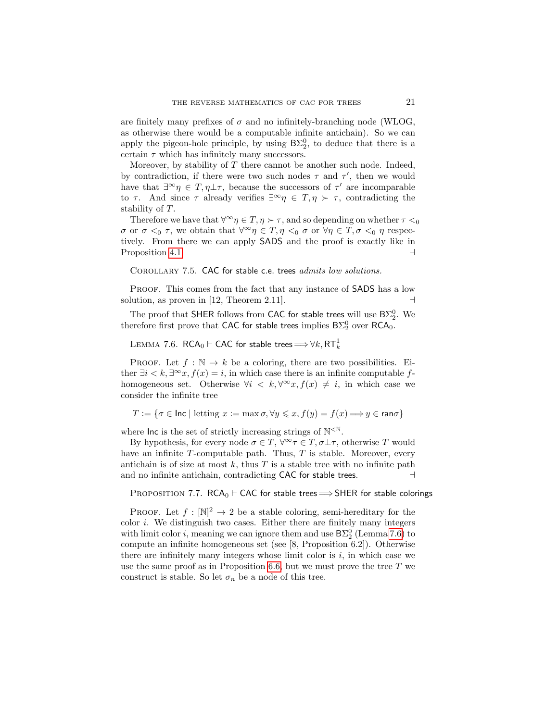are finitely many prefixes of  $\sigma$  and no infinitely-branching node (WLOG, as otherwise there would be a computable infinite antichain). So we can apply the pigeon-hole principle, by using  $B\Sigma_2^0$ , to deduce that there is a certain  $\tau$  which has infinitely many successors.

Moreover, by stability of  $T$  there cannot be another such node. Indeed, by contradiction, if there were two such nodes  $\tau$  and  $\tau'$ , then we would have that  $\exists^{\infty}\eta \in T, \eta \perp \tau$ , because the successors of  $\tau'$  are incomparable to  $\tau$ . And since  $\tau$  already verifies  $\exists^{\infty} \eta \in T, \eta \succ \tau$ , contradicting the stability of T.

Therefore we have that  $\forall^{\infty} \eta \in T, \eta \succ \tau$ , and so depending on whether  $\tau <_0$ *σ* or *σ*  $\lt_0$  *τ*, we obtain that  $\forall^\infty \eta \in T, \eta \lt_0 \sigma$  or  $\forall \eta \in T, \sigma \lt_0 \eta$  respectively. From there we can apply SADS and the proof is exactly like in Proposition [4.1.](#page-10-1) ⊣

<span id="page-20-1"></span>COROLLARY 7.5. CAC for stable c.e. trees *admits low solutions.* 

PROOF. This comes from the fact that any instance of **SADS** has a low solution, as proven in [12, Theorem 2.11].  $\Box$ 

The proof that SHER follows from CAC for stable trees will use  $B\Sigma^0_2$ . We therefore first prove that CAC for stable trees implies  $\mathsf{B}\Sigma^0_2$  over RCA<sub>0</sub>.

<span id="page-20-0"></span> $\textrm{LEMMA}$   $7.6$ .  $\mathsf{RCA}_0\vdash$  CAC for stable trees  $\Longrightarrow \forall k, \mathsf{RT}^1_k$ 

PROOF. Let  $f : \mathbb{N} \to k$  be a coloring, there are two possibilities. Either  $\exists i < k, \exists^{\infty} x, f(x) = i$ , in which case there is an infinite computable fhomogeneous set. Otherwise  $\forall i \leq k, \forall^\infty x, f(x) \neq i$ , in which case we consider the infinite tree

 $T := \{ \sigma \in \text{Inc } | \text{ letting } x := \max \sigma, \forall y \leqslant x, f(y) = f(x) \Longrightarrow y \in \text{ran}\sigma \}$ 

where  $\ln c$  is the set of strictly increasing strings of  $N^{\leq N}$ .

By hypothesis, for every node  $\sigma \in T$ ,  $\forall^{\infty} \tau \in T$ ,  $\sigma \bot \tau$ , otherwise T would have an infinite  $T$ -computable path. Thus,  $T$  is stable. Moreover, every antichain is of size at most k, thus  $T$  is a stable tree with no infinite path and no infinite antichain, contradicting CAC for stable trees.

PROPOSITION 7.7. RCA<sub>0</sub> ⊢ CAC for stable trees  $\Longrightarrow$  SHER for stable colorings

**PROOF.** Let  $f : [\mathbb{N}]^2 \to 2$  be a stable coloring, semi-hereditary for the color  $i$ . We distinguish two cases. Either there are finitely many integers with limit color *i*, meaning we can ignore them and use  $B\Sigma_2^0$  (Lemma [7.6\)](#page-20-0) to compute an infinite homogeneous set (see [8, Proposition 6.2]). Otherwise there are infinitely many integers whose limit color is  $i$ , in which case we use the same proof as in Proposition [6.6,](#page-16-0) but we must prove the tree  $T$  we construct is stable. So let  $\sigma_n$  be a node of this tree.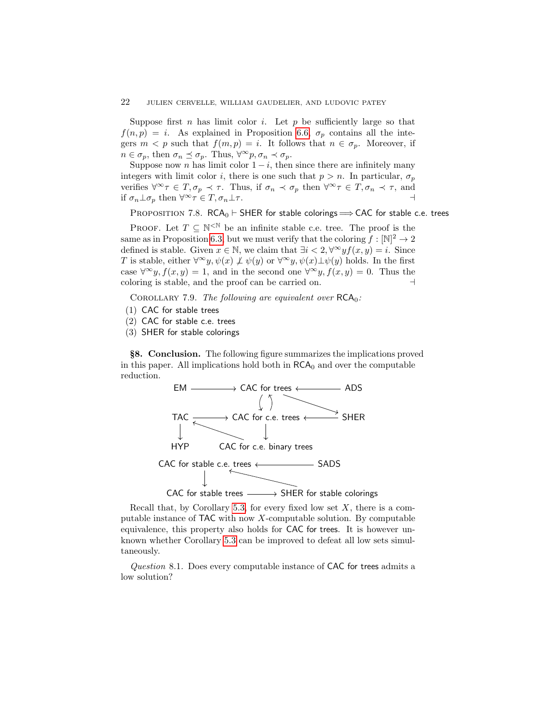### 22 JULIEN CERVELLE, WILLIAM GAUDELIER, AND LUDOVIC PATEY

Suppose first n has limit color i. Let p be sufficiently large so that  $f(n, p) = i$ . As explained in Proposition [6.6,](#page-16-0)  $\sigma_p$  contains all the integers  $m < p$  such that  $f(m, p) = i$ . It follows that  $n \in \sigma_p$ . Moreover, if  $n \in \sigma_p$ , then  $\sigma_n \preceq \sigma_p$ . Thus,  $\forall^\infty p, \sigma_n \prec \sigma_p$ .

Suppose now n has limit color  $1 - i$ , then since there are infinitely many integers with limit color i, there is one such that  $p > n$ . In particular,  $\sigma_n$ verifies  $\forall^{\infty} \tau \in T, \sigma_p \prec \tau$ . Thus, if  $\sigma_n \prec \sigma_p$  then  $\forall^{\infty} \tau \in T, \sigma_n \prec \tau$ , and if  $\sigma_n \perp \sigma_p$  then  $\forall^\infty \tau \in T$ ,  $\sigma_n \perp \tau$ .

PROPOSITION 7.8. RCA<sub>0</sub> ⊢ SHER for stable colorings  $\Rightarrow$  CAC for stable c.e. trees

PROOF. Let  $T \subseteq \mathbb{N}^{\leq \mathbb{N}}$  be an infinite stable c.e. tree. The proof is the same as in Proposition [6.3,](#page-15-0) but we must verify that the coloring  $f: \mathbb{N}^2 \to 2$ defined is stable. Given  $x \in \mathbb{N}$ , we claim that  $\exists i < 2, \forall^{\infty} y f(x, y) = i$ . Since T is stable, either  $\forall^{\infty}y, \psi(x) \not\perp \psi(y)$  or  $\forall^{\infty}y, \psi(x) \perp \psi(y)$  holds. In the first case  $\forall^{\infty} y, f(x, y) = 1$ , and in the second one  $\forall^{\infty} y, f(x, y) = 0$ . Thus the coloring is stable, and the proof can be carried on. ⊣

COROLLARY 7.9. The following are equivalent over  $RCA_0$ :

- (1) CAC for stable trees
- (2) CAC for stable c.e. trees
- (3) SHER for stable colorings

<span id="page-21-0"></span>§8. Conclusion. The following figure summarizes the implications proved in this paper. All implications hold both in  $RCA_0$  and over the computable reduction.



Recall that, by Corollary [5.3,](#page-13-2) for every fixed low set  $X$ , there is a computable instance of  $TAC$  with now X-computable solution. By computable equivalence, this property also holds for CAC for trees. It is however unknown whether Corollary [5.3](#page-13-2) can be improved to defeat all low sets simultaneously.

Question 8.1. Does every computable instance of CAC for trees admits a low solution?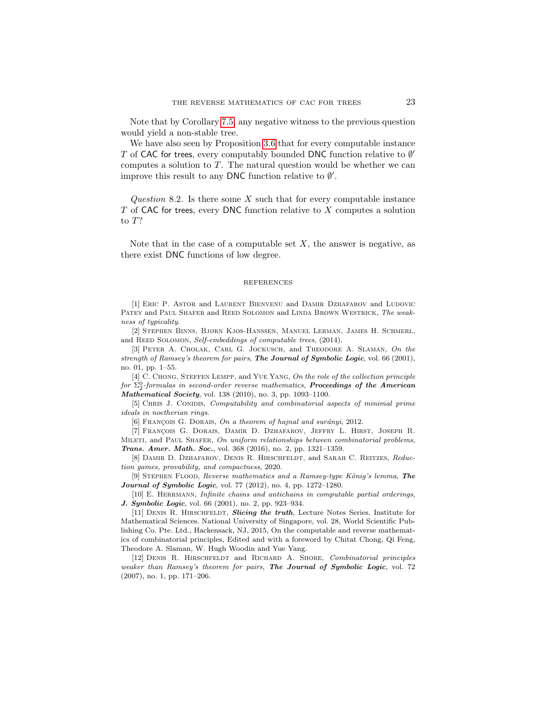Note that by Corollary [7.5,](#page-20-1) any negative witness to the previous question would yield a non-stable tree.

We have also seen by Proposition [3.6](#page-9-0) that for every computable instance T of CAC for trees, every computably bounded DNC function relative to  $\emptyset'$ computes a solution to  $T$ . The natural question would be whether we can improve this result to any DNC function relative to  $\emptyset'$ .

Question 8.2. Is there some  $X$  such that for every computable instance  $T$  of CAC for trees, every DNC function relative to  $X$  computes a solution to T?

Note that in the case of a computable set  $X$ , the answer is negative, as there exist DNC functions of low degree.

#### REFERENCES

[1] Eric P. Astor and Laurent Bienvenu and Damir Dzhafarov and Ludovic PATEY and PAUL SHAFER and REED SOLOMON and LINDA BROWN WESTRICK, The weakness of typicality.

[2] Stephen Binns, Bjørn Kjos-Hanssen, Manuel Lerman, James H. Schmerl, and REED SOLOMON, Self-embeddings of computable trees, (2014).

[3] PETER A. CHOLAK, CARL G. JOCKUSCH, and THEODORE A. SLAMAN, On the strength of Ramsey's theorem for pairs, **The Journal of Symbolic Logic**, vol. 66 (2001), no. 01, pp. 1–55.

[4] C. Chong, Steffen Lempp, and Yue Yang, On the role of the collection principle for  $\Sigma^0_2$ -formulas in second-order reverse mathematics, **Proceedings of the American** Mathematical Society, vol. 138 (2010), no. 3, pp. 1093–1100.

[5] CHRIS J. CONIDIS, *Computability and combinatorial aspects of minimal prime* ideals in noetherian rings.

[6] FRANÇOIS G. DORAIS, On a theorem of hajnal and surányi, 2012.

[7] FRANÇOIS G. DORAIS, DAMIR D. DZHAFAROV, JEFFRY L. HIRST, JOSEPH R. MILETI, and PAUL SHAFER, On uniform relationships between combinatorial problems, Trans. Amer. Math. Soc., vol. 368 (2016), no. 2, pp. 1321-1359.

[8] DAMIR D. DZHAFAROV, DENIS R. HIRSCHFELDT, and SARAH C. REITZES, Reduction games, provability, and compactness, 2020.

[9] STEPHEN FLOOD, Reverse mathematics and a Ramsey-type König's lemma, The Journal of Symbolic Logic, vol. 77 (2012), no. 4, pp. 1272-1280.

[10] E. Herrmann, Infinite chains and antichains in computable partial orderings, J. Symbolic Logic, vol. 66 (2001), no. 2, pp. 923-934.

[11] DENIS R. HIRSCHFELDT, Slicing the truth, Lecture Notes Series. Institute for Mathematical Sciences. National University of Singapore, vol. 28, World Scientific Publishing Co. Pte. Ltd., Hackensack, NJ, 2015, On the computable and reverse mathematics of combinatorial principles, Edited and with a foreword by Chitat Chong, Qi Feng, Theodore A. Slaman, W. Hugh Woodin and Yue Yang.

[12] Denis R. Hirschfeldt and Richard A. Shore, Combinatorial principles weaker than Ramsey's theorem for pairs, The Journal of Symbolic Logic, vol. 72 (2007), no. 1, pp. 171–206.